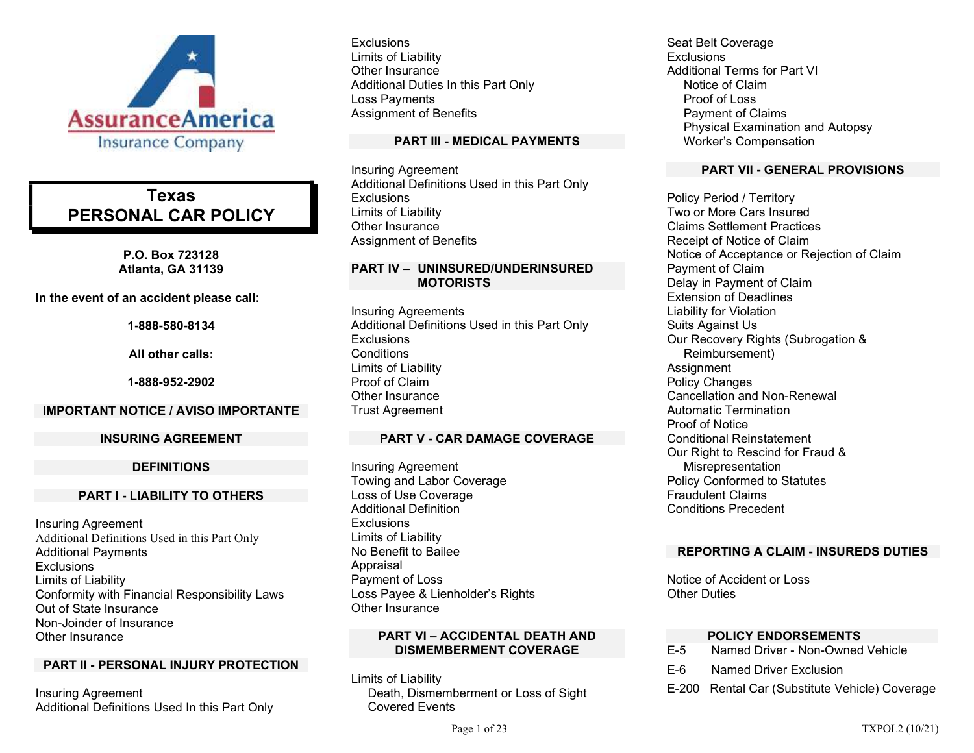

# Texas PERSONAL CAR POLICY

P.O. Box 723128 Atlanta, GA 31139

In the event of an accident please call:

1-888-580-8134

All other calls:

1-888-952-2902

#### IMPORTANT NOTICE / AVISO IMPORTANTE

#### INSURING AGREEMENT

### DEFINITIONS

#### PART I - LIABILITY TO OTHERS

Insuring Agreement Additional Definitions Used in this Part Only Additional Payments **Exclusions** Limits of Liability Conformity with Financial Responsibility Laws Out of State Insurance Non-Joinder of Insurance Other Insurance

# PART II - PERSONAL INJURY PROTECTION

Insuring Agreement Additional Definitions Used In this Part Only

**Exclusions** Limits of Liability Other Insurance Additional Duties In this Part Only Loss Payments Assignment of Benefits

### PART III - MEDICAL PAYMENTS

Insuring Agreement Additional Definitions Used in this Part Only **Exclusions** Limits of Liability Other Insurance Assignment of Benefits

### PART IV – UNINSURED/UNDERINSURED **MOTORISTS**

Insuring Agreements Additional Definitions Used in this Part Only **Exclusions Conditions** Limits of Liability Proof of Claim Other Insurance Trust Agreement

# PART V - CAR DAMAGE COVERAGE

Insuring Agreement Towing and Labor Coverage Loss of Use Coverage Additional Definition **Exclusions** Limits of Liability No Benefit to Bailee Appraisal Payment of Loss Loss Payee & Lienholder's Rights Other Insurance

### PART VI – ACCIDENTAL DEATH AND DISMEMBERMENT COVERAGE

Limits of Liability Death, Dismemberment or Loss of Sight Covered Events

Seat Belt Coverage **Exclusions** Additional Terms for Part VI Notice of Claim Proof of Loss Payment of Claims Physical Examination and Autopsy Worker's Compensation

### PART VII - GENERAL PROVISIONS

Policy Period / Territory Two or More Cars Insured Claims Settlement Practices Receipt of Notice of Claim Notice of Acceptance or Rejection of Claim Payment of Claim Delay in Payment of Claim Extension of Deadlines Liability for Violation Suits Against Us Our Recovery Rights (Subrogation & Reimbursement) **Assignment** Policy Changes Cancellation and Non-Renewal Automatic Termination Proof of Notice Conditional Reinstatement Our Right to Rescind for Fraud & Misrepresentation Policy Conformed to Statutes Fraudulent Claims Conditions Precedent

# REPORTING A CLAIM - INSUREDS DUTIES

Notice of Accident or Loss Other Duties

# POLICY ENDORSEMENTS

- E-5 Named Driver Non-Owned Vehicle
- E-6 Named Driver Exclusion
- E-200 Rental Car (Substitute Vehicle) Coverage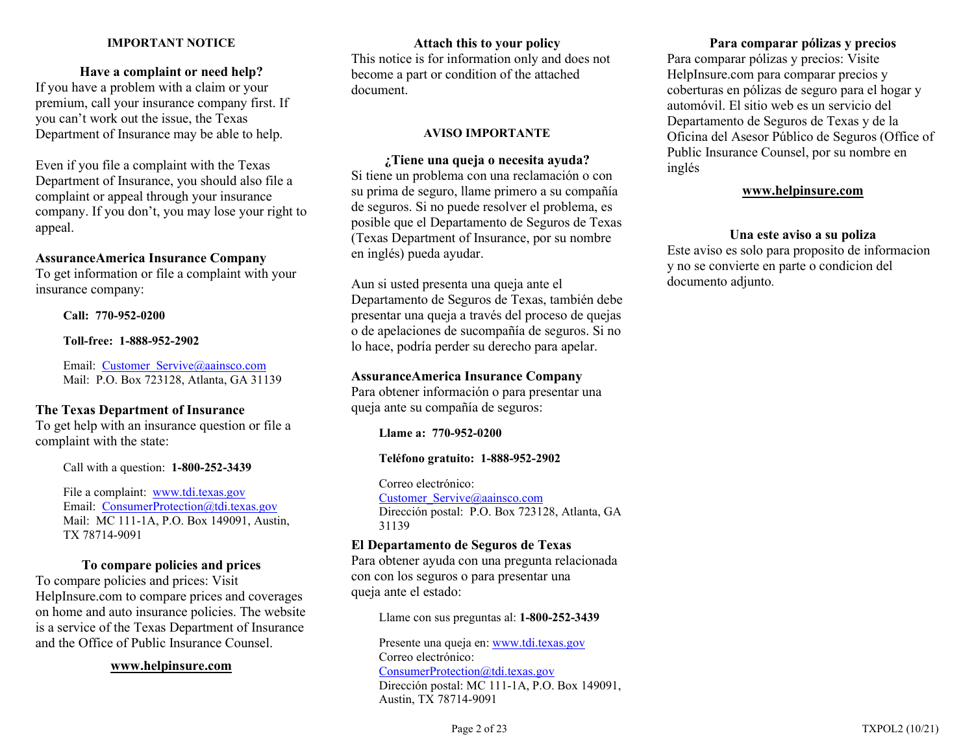### IMPORTANT NOTICE

### Have a complaint or need help?

If you have a problem with a claim or your premium, call your insurance company first. If you can't work out the issue, the Texas Department of Insurance may be able to help.

Even if you file a complaint with the Texas Department of Insurance, you should also file a complaint or appeal through your insurance company. If you don't, you may lose your right to appeal.

#### AssuranceAmerica Insurance Company

To get information or file a complaint with your insurance company:

Call: 770-952-0200

Toll-free: 1-888-952-2902

Email: Customer\_Servive@aainsco.com Mail: P.O. Box 723128, Atlanta, GA 31139

# The Texas Department of Insurance

To get help with an insurance question or file a complaint with the state:

Call with a question: 1-800-252-3439

File a complaint: www.tdi.texas.gov Email: ConsumerProtection@tdi.texas.gov Mail: MC 111-1A, P.O. Box 149091, Austin, TX 78714-9091

#### To compare policies and prices

To compare policies and prices: Visit HelpInsure.com to compare prices and coverages on home and auto insurance policies. The website is a service of the Texas Department of Insurance and the Office of Public Insurance Counsel.

#### www.helpinsure.com

Attach this to your policy This notice is for information only and does not become a part or condition of the attached document.

#### AVISO IMPORTANTE

¿Tiene una queja o necesita ayuda? Si tiene un problema con una reclamación o con su prima de seguro, llame primero a su compañía de seguros. Si no puede resolver el problema, es posible que el Departamento de Seguros de Texas (Texas Department of Insurance, por su nombre en inglés) pueda ayudar.

Aun si usted presenta una queja ante el Departamento de Seguros de Texas, también debe presentar una queja a través del proceso de quejas o de apelaciones de sucompañía de seguros. Si no lo hace, podría perder su derecho para apelar.

# AssuranceAmerica Insurance Company

Para obtener información o para presentar una queja ante su compañía de seguros:

Llame a: 770-952-0200

#### Teléfono gratuito: 1-888-952-2902

Correo electrónico: Customer\_Servive@aainsco.com Dirección postal: P.O. Box 723128, Atlanta, GA 31139

# El Departamento de Seguros de Texas

Para obtener ayuda con una pregunta relacionada con con los seguros o para presentar una queja ante el estado:

Llame con sus preguntas al: 1-800-252-3439

Presente una queja en: www.tdi.texas.gov Correo electrónico: ConsumerProtection@tdi.texas.gov Dirección postal: MC 111-1A, P.O. Box 149091, Austin, TX 78714-9091

# Para comparar pólizas y precios

Para comparar pólizas y precios: Visite HelpInsure.com para comparar precios y coberturas en pólizas de seguro para el hogar y automóvil. El sitio web es un servicio del Departamento de Seguros de Texas y de la Oficina del Asesor Público de Seguros (Office of Public Insurance Counsel, por su nombre en inglés

# www.helpinsure.com

### Una este aviso a su poliza

Este aviso es solo para proposito de informacion y no se convierte en parte o condicion del documento adjunto.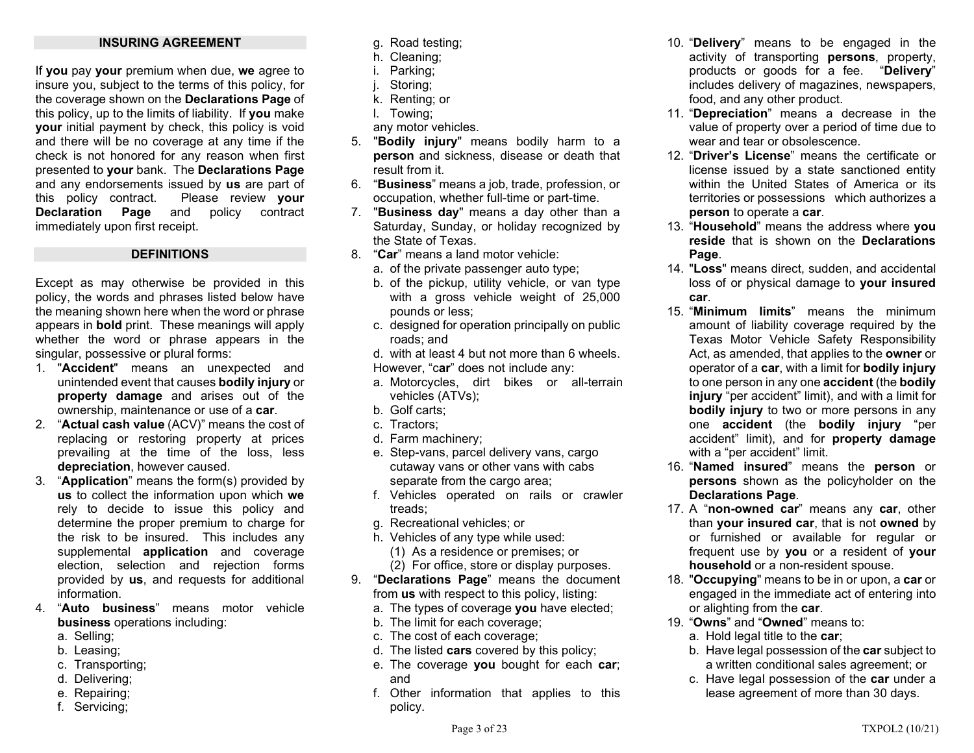### INSURING AGREEMENT

If you pay your premium when due, we agree to insure you, subject to the terms of this policy, for the coverage shown on the Declarations Page of this policy, up to the limits of liability. If you make your initial payment by check, this policy is void and there will be no coverage at any time if the check is not honored for any reason when first presented to your bank. The Declarations Page and any endorsements issued by us are part of this policy contract. Please review your Declaration Page and policy contract immediately upon first receipt.

#### DEFINITIONS

Except as may otherwise be provided in this policy, the words and phrases listed below have the meaning shown here when the word or phrase appears in bold print. These meanings will apply whether the word or phrase appears in the singular, possessive or plural forms:

- 1. "Accident" means an unexpected and unintended event that causes bodily injury or property damage and arises out of the ownership, maintenance or use of a car.
- 2. "Actual cash value (ACV)" means the cost of replacing or restoring property at prices prevailing at the time of the loss, less depreciation, however caused.
- 3. "Application" means the form(s) provided by us to collect the information upon which we rely to decide to issue this policy and determine the proper premium to charge for the risk to be insured. This includes any supplemental **application** and coverage election, selection and rejection forms provided by us, and requests for additional information.
- 4. "Auto business" means motor vehicle business operations including:
	- a. Selling;
	- b. Leasing;
	- c. Transporting;
	- d. Delivering;
	- e. Repairing;
	- f. Servicing;
- g. Road testing;
- h. Cleaning;
- i. Parking;
- j. Storing;
- k. Renting; or
- l. Towing;
- any motor vehicles.
- 5. "Bodily injury" means bodily harm to a person and sickness, disease or death that result from it.
- 6. "Business" means a job, trade, profession, or occupation, whether full-time or part-time.
- 7. **"Business day"** means a day other than a Saturday, Sunday, or holiday recognized by the State of Texas.
- 8. "Car" means a land motor vehicle:
	- a. of the private passenger auto type;
	- b. of the pickup, utility vehicle, or van type with a gross vehicle weight of 25,000 pounds or less;
	- c. designed for operation principally on public roads; and
	- d. with at least 4 but not more than 6 wheels. However, "car" does not include any:
	- a. Motorcycles, dirt bikes or all-terrain vehicles (ATVs);
	- b. Golf carts;
	- c. Tractors;
	- d. Farm machinery;
	- e. Step-vans, parcel delivery vans, cargo cutaway vans or other vans with cabs separate from the cargo area;
	- f. Vehicles operated on rails or crawler treads;
	- g. Recreational vehicles; or
	- h. Vehicles of any type while used:
		- (1) As a residence or premises; or
		- (2) For office, store or display purposes.
- 9. "Declarations Page" means the document from us with respect to this policy, listing:
	- a. The types of coverage you have elected;
	- b. The limit for each coverage;
	- c. The cost of each coverage;
	- d. The listed cars covered by this policy;
	- e. The coverage you bought for each car; and
	- f. Other information that applies to this policy.
- 10. "Delivery" means to be engaged in the activity of transporting persons, property, products or goods for a fee. "Delivery" includes delivery of magazines, newspapers, food, and any other product.
- 11. "Depreciation" means a decrease in the value of property over a period of time due to wear and tear or obsolescence.
- 12. "Driver's License" means the certificate or license issued by a state sanctioned entity within the United States of America or its territories or possessions which authorizes a person to operate a car.
- 13. "Household" means the address where you reside that is shown on the Declarations Page.
- 14. "Loss" means direct, sudden, and accidental loss of or physical damage to your insured car.
- 15. "Minimum limits" means the minimum amount of liability coverage required by the Texas Motor Vehicle Safety Responsibility Act, as amended, that applies to the owner or operator of a car, with a limit for bodily injury to one person in any one accident (the bodily injury "per accident" limit), and with a limit for bodily injury to two or more persons in any one accident (the bodily injury "per accident" limit), and for property damage with a "per accident" limit.
- 16. "Named insured" means the person or persons shown as the policyholder on the Declarations Page.
- 17. A "non-owned car" means any car, other than your insured car, that is not owned by or furnished or available for regular or frequent use by you or a resident of your household or a non-resident spouse.
- 18. "Occupying" means to be in or upon, a car or engaged in the immediate act of entering into or alighting from the car.
- 19. "Owns" and "Owned" means to:
	- a. Hold legal title to the car;
	- b. Have legal possession of the car subject to a written conditional sales agreement; or
	- c. Have legal possession of the **car** under a lease agreement of more than 30 days.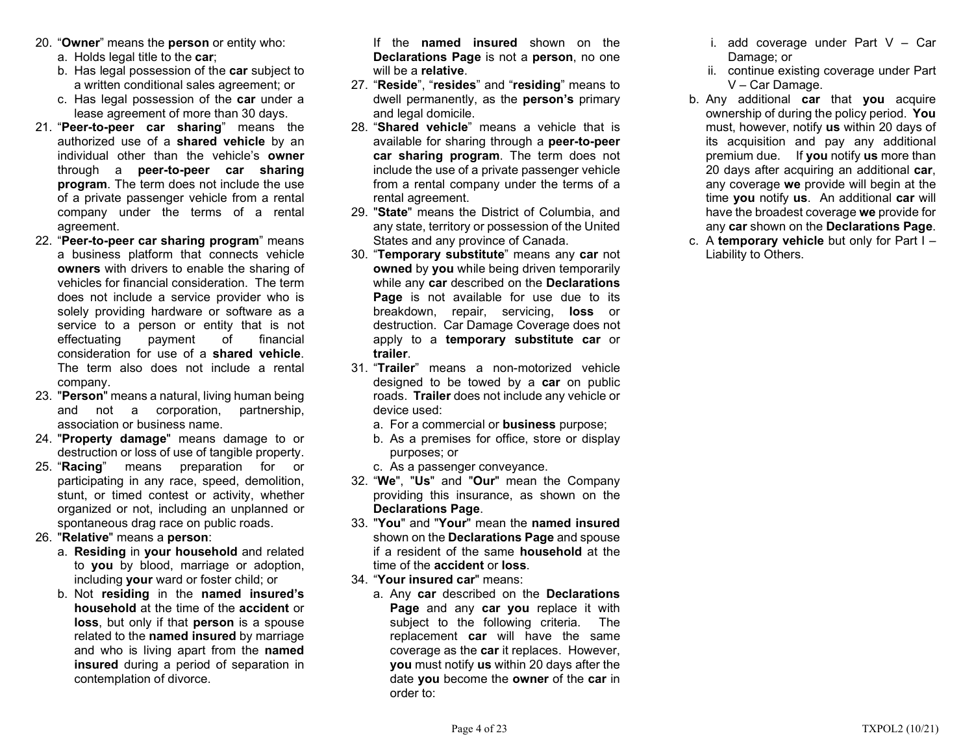- 20. "Owner" means the person or entity who:
	- a. Holds legal title to the car;
	- b. Has legal possession of the car subject to a written conditional sales agreement; or
	- c. Has legal possession of the car under a lease agreement of more than 30 days.
- 21. "Peer-to-peer car sharing" means the authorized use of a shared vehicle by an individual other than the vehicle's owner through a peer-to-peer car sharing program. The term does not include the use of a private passenger vehicle from a rental company under the terms of a rental agreement.
- 22. "Peer-to-peer car sharing program" means a business platform that connects vehicle owners with drivers to enable the sharing of vehicles for financial consideration. The term does not include a service provider who is solely providing hardware or software as a service to a person or entity that is not effectuating payment of financial consideration for use of a shared vehicle. The term also does not include a rental company.
- 23. "Person" means a natural, living human being and not a corporation, partnership, association or business name.
- 24. "Property damage" means damage to or destruction or loss of use of tangible property.
- 25. "Racing" means preparation for or participating in any race, speed, demolition, stunt, or timed contest or activity, whether organized or not, including an unplanned or spontaneous drag race on public roads.
- 26. "Relative" means a person:
	- a. Residing in your household and related to you by blood, marriage or adoption, including your ward or foster child; or
	- b. Not residing in the named insured's household at the time of the accident or loss, but only if that person is a spouse related to the **named insured** by marriage and who is living apart from the **named** insured during a period of separation in contemplation of divorce.

If the named insured shown on the Declarations Page is not a person, no one will be a **relative**.

- 27. "Reside", "resides" and "residing" means to dwell permanently, as the **person's** primary and legal domicile.
- 28. "Shared vehicle" means a vehicle that is available for sharing through a peer-to-peer car sharing program. The term does not include the use of a private passenger vehicle from a rental company under the terms of a rental agreement.
- 29. "State" means the District of Columbia, and any state, territory or possession of the United States and any province of Canada.
- 30. "Temporary substitute" means any car not owned by you while being driven temporarily while any car described on the Declarations **Page** is not available for use due to its breakdown, repair, servicing, **loss** or destruction. Car Damage Coverage does not apply to a temporary substitute car or trailer.
- 31. "Trailer" means a non-motorized vehicle designed to be towed by a **car** on public roads. Trailer does not include any vehicle or device used:
	- a. For a commercial or **business** purpose;
	- b. As a premises for office, store or display purposes; or
	- c. As a passenger conveyance.
- 32. "We", "Us" and "Our" mean the Company providing this insurance, as shown on the Declarations Page.
- 33. "You" and "Your" mean the named insured shown on the **Declarations Page** and spouse if a resident of the same household at the time of the accident or loss.
- 34. "Your insured car" means:
	- a. Any car described on the Declarations Page and any car you replace it with subject to the following criteria. The replacement car will have the same coverage as the car it replaces. However, you must notify us within 20 days after the date you become the owner of the car in order to:
- i. add coverage under Part V Car Damage; or
- ii. continue existing coverage under Part V – Car Damage.
- b. Any additional car that you acquire ownership of during the policy period. You must, however, notify us within 20 days of its acquisition and pay any additional premium due. If you notify us more than 20 days after acquiring an additional car, any coverage we provide will begin at the time you notify us. An additional car will have the broadest coverage we provide for any car shown on the Declarations Page.
- c. A temporary vehicle but only for Part  $I -$ Liability to Others.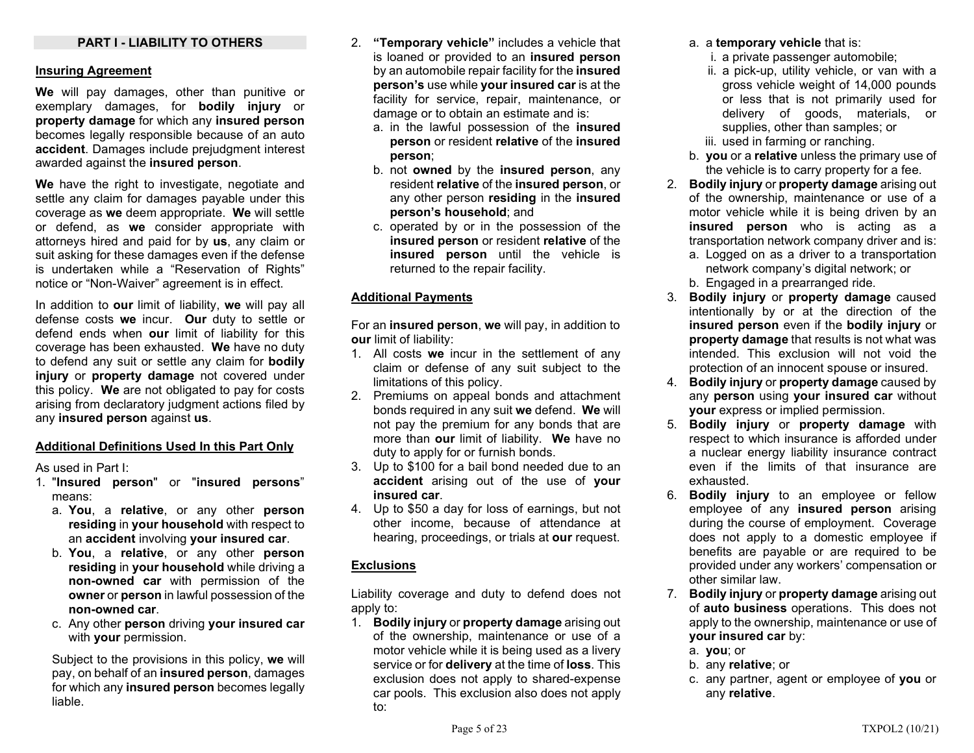### PART I - LIABILITY TO OTHERS

#### Insuring Agreement

We will pay damages, other than punitive or exemplary damages, for **bodily injury** or property damage for which any insured person becomes legally responsible because of an auto accident. Damages include prejudgment interest awarded against the insured person.

We have the right to investigate, negotiate and settle any claim for damages payable under this coverage as we deem appropriate. We will settle or defend, as we consider appropriate with attorneys hired and paid for by us, any claim or suit asking for these damages even if the defense is undertaken while a "Reservation of Rights" notice or "Non-Waiver" agreement is in effect.

In addition to our limit of liability, we will pay all defense costs we incur. Our duty to settle or defend ends when our limit of liability for this coverage has been exhausted. We have no duty to defend any suit or settle any claim for bodily injury or property damage not covered under this policy. We are not obligated to pay for costs arising from declaratory judgment actions filed by any insured person against us.

#### Additional Definitions Used In this Part Only

As used in Part I:

- 1. "Insured person" or "insured persons" means:
	- a. You, a relative, or any other person residing in your household with respect to an accident involving your insured car.
	- b. You, a relative, or any other person residing in your household while driving a non-owned car with permission of the owner or person in lawful possession of the non-owned car.
	- c. Any other person driving your insured car with your permission.

Subject to the provisions in this policy, we will pay, on behalf of an insured person, damages for which any insured person becomes legally liable.

- 2. "Temporary vehicle" includes a vehicle that is loaned or provided to an insured person by an automobile repair facility for the insured person's use while your insured car is at the facility for service, repair, maintenance, or damage or to obtain an estimate and is:
	- a. in the lawful possession of the insured person or resident relative of the insured person;
	- b. not owned by the insured person, any resident relative of the insured person, or any other person residing in the insured person's household; and
	- c. operated by or in the possession of the insured person or resident relative of the insured person until the vehicle is returned to the repair facility.

#### Additional Payments

For an insured person, we will pay, in addition to our limit of liability:

- 1. All costs we incur in the settlement of any claim or defense of any suit subject to the limitations of this policy.
- 2. Premiums on appeal bonds and attachment bonds required in any suit we defend. We will not pay the premium for any bonds that are more than our limit of liability. We have no duty to apply for or furnish bonds.
- 3. Up to \$100 for a bail bond needed due to an accident arising out of the use of your insured car.
- 4. Up to \$50 a day for loss of earnings, but not other income, because of attendance at hearing, proceedings, or trials at our request.

#### **Exclusions**

Liability coverage and duty to defend does not apply to:

1. Bodily injury or property damage arising out of the ownership, maintenance or use of a motor vehicle while it is being used as a livery service or for **delivery** at the time of **loss**. This exclusion does not apply to shared-expense car pools. This exclusion also does not apply to:

- a. a temporary vehicle that is:
	- i. a private passenger automobile;
	- ii. a pick-up, utility vehicle, or van with a gross vehicle weight of 14,000 pounds or less that is not primarily used for delivery of goods, materials, or supplies, other than samples; or
	- iii. used in farming or ranching.
- b. you or a relative unless the primary use of the vehicle is to carry property for a fee.
- 2. Bodily injury or property damage arising out of the ownership, maintenance or use of a motor vehicle while it is being driven by an insured person who is acting as a transportation network company driver and is:
	- a. Logged on as a driver to a transportation network company's digital network; or
	- b. Engaged in a prearranged ride.
- 3. Bodily injury or property damage caused intentionally by or at the direction of the insured person even if the bodily injury or property damage that results is not what was intended. This exclusion will not void the protection of an innocent spouse or insured.
- 4. Bodily injury or property damage caused by any person using your insured car without your express or implied permission.
- 5. Bodily injury or property damage with respect to which insurance is afforded under a nuclear energy liability insurance contract even if the limits of that insurance are exhausted.
- 6. Bodily injury to an employee or fellow employee of any insured person arising during the course of employment. Coverage does not apply to a domestic employee if benefits are payable or are required to be provided under any workers' compensation or other similar law.
- 7. Bodily injury or property damage arising out of auto business operations. This does not apply to the ownership, maintenance or use of your insured car by:
	- a. you; or
	- b. any relative; or
	- c. any partner, agent or employee of you or any relative.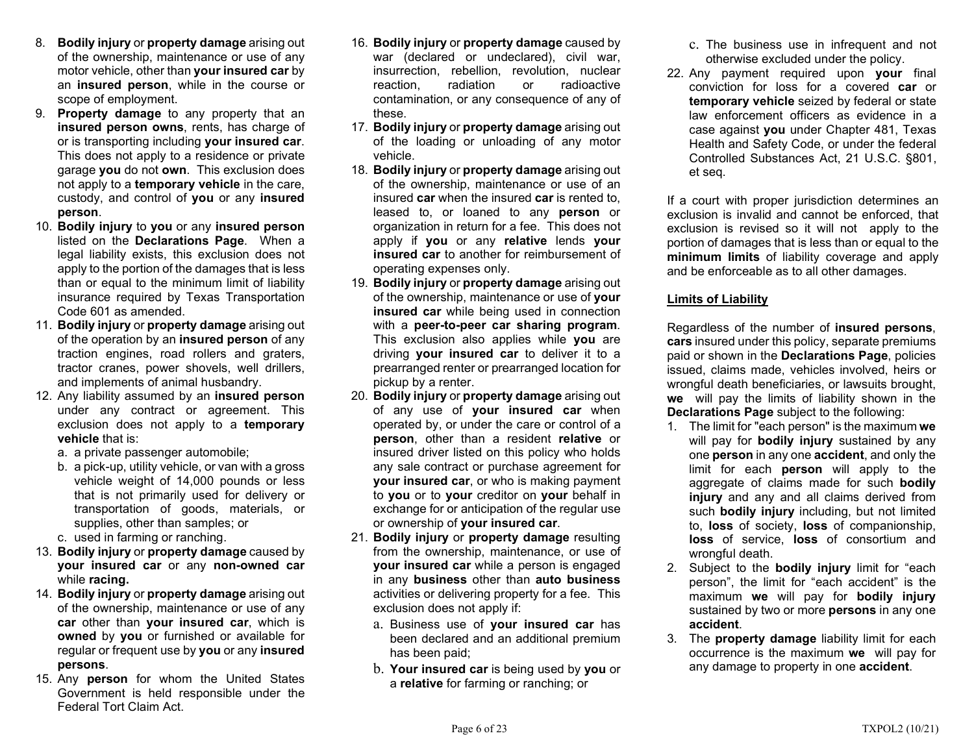- 8. Bodily injury or property damage arising out of the ownership, maintenance or use of any motor vehicle, other than your insured car by an insured person, while in the course or scope of employment.
- 9. Property damage to any property that an insured person owns, rents, has charge of or is transporting including your insured car. This does not apply to a residence or private garage you do not own. This exclusion does not apply to a temporary vehicle in the care, custody, and control of you or any insured person.
- 10. Bodily injury to you or any insured person listed on the Declarations Page. When a legal liability exists, this exclusion does not apply to the portion of the damages that is less than or equal to the minimum limit of liability insurance required by Texas Transportation Code 601 as amended.
- 11. Bodily injury or property damage arising out of the operation by an **insured person** of any traction engines, road rollers and graters, tractor cranes, power shovels, well drillers, and implements of animal husbandry.
- 12. Any liability assumed by an insured person under any contract or agreement. This exclusion does not apply to a temporary vehicle that is:
	- a. a private passenger automobile;
	- b. a pick-up, utility vehicle, or van with a gross vehicle weight of 14,000 pounds or less that is not primarily used for delivery or transportation of goods, materials, or supplies, other than samples; or
	- c. used in farming or ranching.
- 13. Bodily injury or property damage caused by your insured car or any non-owned car while racing.
- 14. Bodily injury or property damage arising out of the ownership, maintenance or use of any car other than your insured car, which is owned by you or furnished or available for regular or frequent use by you or any insured persons.
- 15. Any person for whom the United States Government is held responsible under the Federal Tort Claim Act.
- 16. Bodily injury or property damage caused by war (declared or undeclared), civil war, insurrection, rebellion, revolution, nuclear reaction, radiation or radioactive contamination, or any consequence of any of these.
- 17. Bodily injury or property damage arising out of the loading or unloading of any motor vehicle.
- 18. Bodily injury or property damage arising out of the ownership, maintenance or use of an insured car when the insured car is rented to, leased to, or loaned to any **person** or organization in return for a fee. This does not apply if you or any relative lends your insured car to another for reimbursement of operating expenses only.
- 19. Bodily injury or property damage arising out of the ownership, maintenance or use of your insured car while being used in connection with a peer-to-peer car sharing program. This exclusion also applies while you are driving **your insured car** to deliver it to a prearranged renter or prearranged location for pickup by a renter.
- 20. Bodily injury or property damage arising out of any use of **your insured car** when operated by, or under the care or control of a person, other than a resident relative or insured driver listed on this policy who holds any sale contract or purchase agreement for your insured car, or who is making payment to you or to your creditor on your behalf in exchange for or anticipation of the regular use or ownership of your insured car.
- 21. Bodily injury or property damage resulting from the ownership, maintenance, or use of your insured car while a person is engaged in any business other than auto business activities or delivering property for a fee. This exclusion does not apply if:
	- a. Business use of your insured car has been declared and an additional premium has been paid;
	- b. Your insured car is being used by you or a relative for farming or ranching; or
- c. The business use in infrequent and not otherwise excluded under the policy.
- 22. Any payment required upon your final conviction for loss for a covered car or temporary vehicle seized by federal or state law enforcement officers as evidence in a case against you under Chapter 481, Texas Health and Safety Code, or under the federal Controlled Substances Act, 21 U.S.C. §801, et seq.

If a court with proper jurisdiction determines an exclusion is invalid and cannot be enforced, that exclusion is revised so it will not apply to the portion of damages that is less than or equal to the minimum limits of liability coverage and apply and be enforceable as to all other damages.

# Limits of Liability

Regardless of the number of insured persons, cars insured under this policy, separate premiums paid or shown in the Declarations Page, policies issued, claims made, vehicles involved, heirs or wrongful death beneficiaries, or lawsuits brought, we will pay the limits of liability shown in the Declarations Page subject to the following:

- 1. The limit for "each person" is the maximum we will pay for **bodily injury** sustained by any one person in any one accident, and only the limit for each **person** will apply to the aggregate of claims made for such bodily injury and any and all claims derived from such **bodily injury** including, but not limited to, loss of society, loss of companionship, loss of service, loss of consortium and wrongful death.
- 2. Subject to the bodily injury limit for "each person", the limit for "each accident" is the maximum we will pay for bodily injury sustained by two or more persons in any one accident.
- 3. The property damage liability limit for each occurrence is the maximum we will pay for any damage to property in one **accident**.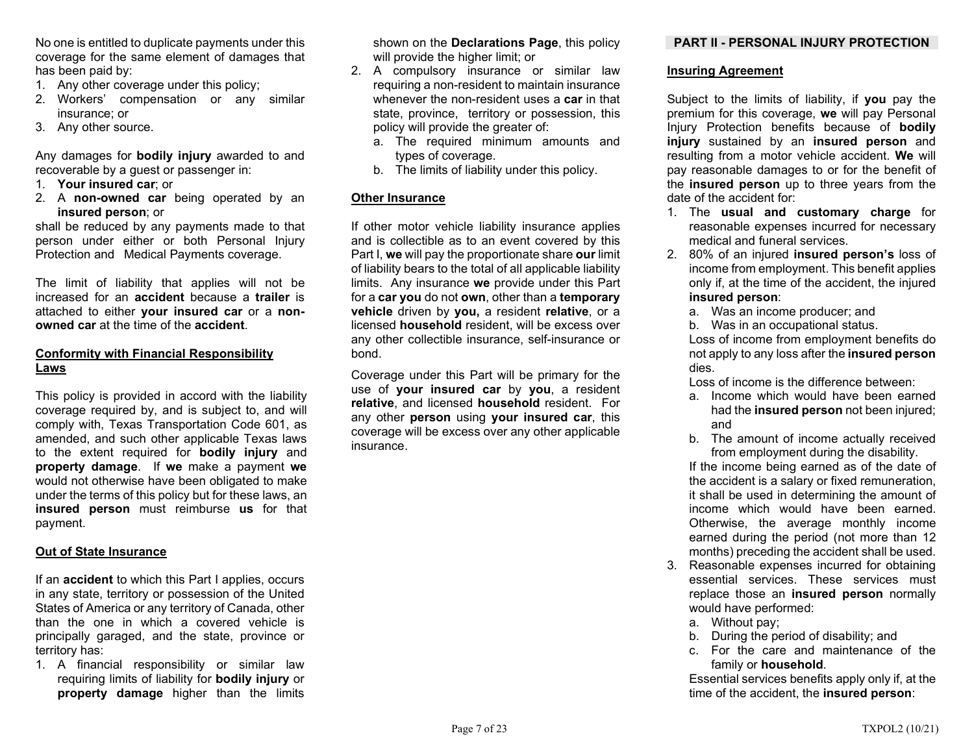No one is entitled to duplicate payments under this coverage for the same element of damages that has been paid by:

- 1. Any other coverage under this policy;
- 2. Workers' compensation or any similar insurance; or
- 3. Any other source.

Any damages for **bodily injury** awarded to and recoverable by a guest or passenger in:

- 1. Your insured car; or
- 2. A non-owned car being operated by an insured person; or

shall be reduced by any payments made to that person under either or both Personal Injury Protection and Medical Payments coverage.

The limit of liability that applies will not be increased for an accident because a trailer is attached to either **your insured car** or a nonowned car at the time of the accident.

# Conformity with Financial Responsibility Laws

This policy is provided in accord with the liability coverage required by, and is subject to, and will comply with, Texas Transportation Code 601, as amended, and such other applicable Texas laws to the extent required for bodily injury and property damage. If we make a payment we would not otherwise have been obligated to make under the terms of this policy but for these laws, an insured person must reimburse us for that payment.

# Out of State Insurance

If an **accident** to which this Part I applies, occurs in any state, territory or possession of the United States of America or any territory of Canada, other than the one in which a covered vehicle is principally garaged, and the state, province or territory has:

1. A financial responsibility or similar law requiring limits of liability for bodily injury or property damage higher than the limits

shown on the **Declarations Page**, this policy will provide the higher limit; or

- 2. A compulsory insurance or similar law requiring a non-resident to maintain insurance whenever the non-resident uses a **car** in that state, province, territory or possession, this policy will provide the greater of:
	- a. The required minimum amounts and types of coverage.
	- b. The limits of liability under this policy.

# Other Insurance

If other motor vehicle liability insurance applies and is collectible as to an event covered by this Part I, we will pay the proportionate share our limit of liability bears to the total of all applicable liability limits. Any insurance we provide under this Part for a car you do not own, other than a temporary vehicle driven by you, a resident relative, or a licensed household resident, will be excess over any other collectible insurance, self-insurance or bond.

Coverage under this Part will be primary for the use of your insured car by you, a resident relative, and licensed household resident. For any other person using your insured car, this coverage will be excess over any other applicable insurance.

# PART II - PERSONAL INJURY PROTECTION

# Insuring Agreement

Subject to the limits of liability, if you pay the premium for this coverage, we will pay Personal Injury Protection benefits because of bodily injury sustained by an insured person and resulting from a motor vehicle accident. We will pay reasonable damages to or for the benefit of the insured person up to three years from the date of the accident for:

- 1. The usual and customary charge for reasonable expenses incurred for necessary medical and funeral services.
- 2. 80% of an injured insured person's loss of income from employment. This benefit applies only if, at the time of the accident, the injured insured person:
	- a. Was an income producer; and
	- b. Was in an occupational status.

 Loss of income from employment benefits do not apply to any loss after the insured person dies.

Loss of income is the difference between:

- a. Income which would have been earned had the **insured person** not been injured; and
- b. The amount of income actually received from employment during the disability.

If the income being earned as of the date of the accident is a salary or fixed remuneration, it shall be used in determining the amount of income which would have been earned. Otherwise, the average monthly income earned during the period (not more than 12 months) preceding the accident shall be used.

- 3. Reasonable expenses incurred for obtaining essential services. These services must replace those an insured person normally would have performed:
	- a. Without pay;
	- b. During the period of disability; and
	- c. For the care and maintenance of the family or **household**.

Essential services benefits apply only if, at the time of the accident, the insured person: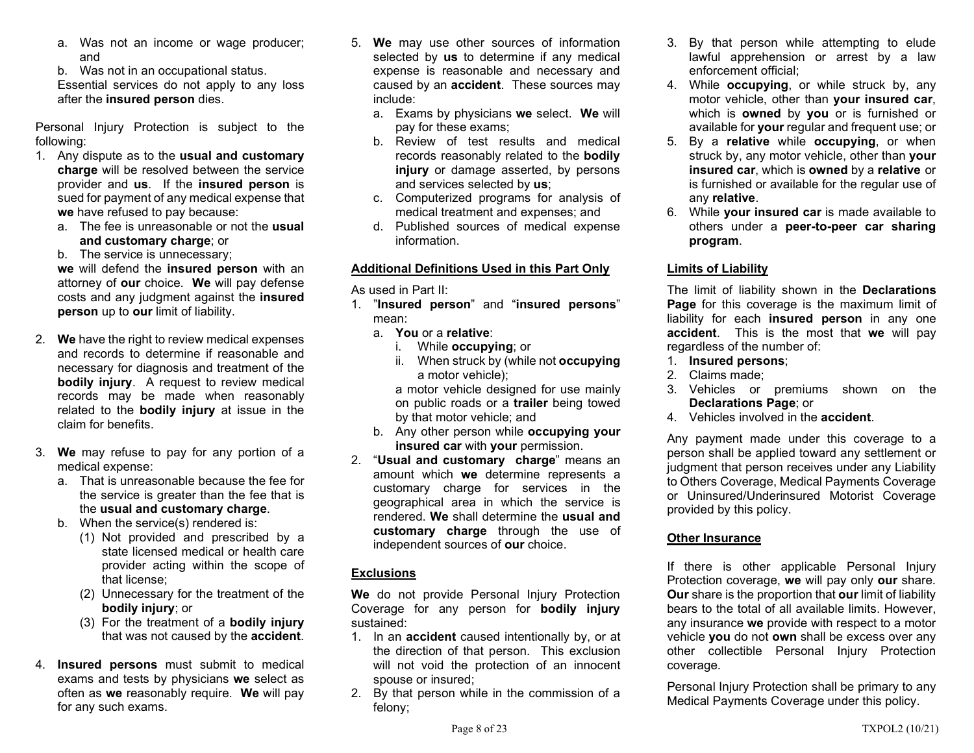- a. Was not an income or wage producer; and
- b. Was not in an occupational status.

Essential services do not apply to any loss after the insured person dies.

Personal Injury Protection is subject to the following:

- 1. Any dispute as to the usual and customary charge will be resolved between the service provider and us. If the insured person is sued for payment of any medical expense that we have refused to pay because:
	- a. The fee is unreasonable or not the usual and customary charge; or

b. The service is unnecessary;

we will defend the insured person with an attorney of our choice. We will pay defense costs and any judgment against the insured person up to our limit of liability.

- 2. We have the right to review medical expenses and records to determine if reasonable and necessary for diagnosis and treatment of the bodily injury. A request to review medical records may be made when reasonably related to the **bodily injury** at issue in the claim for benefits.
- 3. We may refuse to pay for any portion of a medical expense:
	- a. That is unreasonable because the fee for the service is greater than the fee that is the usual and customary charge.
	- b. When the service(s) rendered is:
		- (1) Not provided and prescribed by a state licensed medical or health care provider acting within the scope of that license;
		- (2) Unnecessary for the treatment of the bodily injury; or
		- (3) For the treatment of a bodily injury that was not caused by the **accident**.
- 4. Insured persons must submit to medical exams and tests by physicians we select as often as we reasonably require. We will pay for any such exams.
- 5. We may use other sources of information selected by **us** to determine if any medical expense is reasonable and necessary and caused by an accident. These sources may include:
	- a. Exams by physicians we select. We will pay for these exams;
	- b. Review of test results and medical records reasonably related to the bodily injury or damage asserted, by persons and services selected by us;
	- c. Computerized programs for analysis of medical treatment and expenses; and
	- d. Published sources of medical expense information.

# Additional Definitions Used in this Part Only

As used in Part II:

- 1. "Insured person" and "insured persons" mean:
	- a. You or a relative:
		- i. While **occupying**; or
		- ii. When struck by (while not **occupying** a motor vehicle);

 a motor vehicle designed for use mainly on public roads or a trailer being towed by that motor vehicle; and

- b. Any other person while occupying your insured car with your permission.
- 2. "Usual and customary charge" means an amount which we determine represents a customary charge for services in the geographical area in which the service is rendered. We shall determine the usual and customary charge through the use of independent sources of our choice.

# **Exclusions**

We do not provide Personal Injury Protection Coverage for any person for bodily injury sustained:

- 1. In an **accident** caused intentionally by, or at the direction of that person. This exclusion will not void the protection of an innocent spouse or insured;
- 2. By that person while in the commission of a felony;
- 3. By that person while attempting to elude lawful apprehension or arrest by a law enforcement official;
- 4. While **occupying**, or while struck by, any motor vehicle, other than your insured car, which is **owned** by you or is furnished or available for your regular and frequent use; or
- 5. By a relative while occupying, or when struck by, any motor vehicle, other than your insured car, which is owned by a relative or is furnished or available for the regular use of any relative.
- 6. While your insured car is made available to others under a peer-to-peer car sharing program.

# Limits of Liability

The limit of liability shown in the Declarations Page for this coverage is the maximum limit of liability for each insured person in any one accident. This is the most that we will pay regardless of the number of:

- 1. Insured persons;
- 2. Claims made;
- 3. Vehicles or premiums shown on the Declarations Page; or
- 4. Vehicles involved in the **accident**

Any payment made under this coverage to a person shall be applied toward any settlement or judgment that person receives under any Liability to Others Coverage, Medical Payments Coverage or Uninsured/Underinsured Motorist Coverage provided by this policy.

# Other Insurance

If there is other applicable Personal Injury Protection coverage, we will pay only our share. Our share is the proportion that our limit of liability bears to the total of all available limits. However, any insurance we provide with respect to a motor vehicle you do not own shall be excess over any other collectible Personal Injury Protection coverage.

Personal Injury Protection shall be primary to any Medical Payments Coverage under this policy.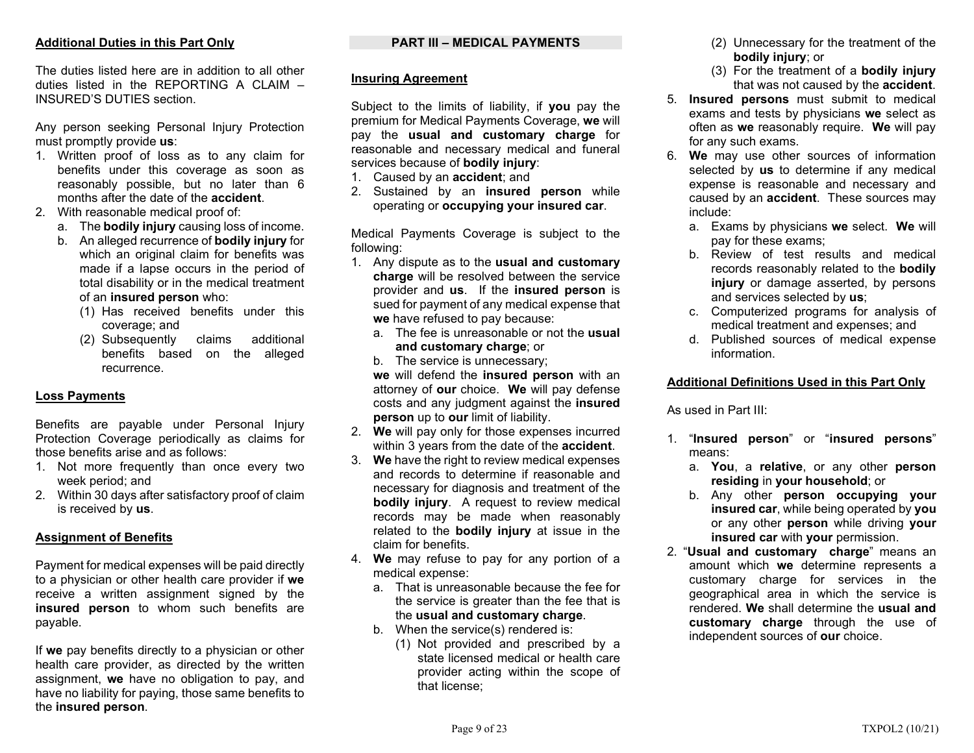# Additional Duties in this Part Only

The duties listed here are in addition to all other duties listed in the REPORTING A CLAIM – INSURED'S DUTIES section.

Any person seeking Personal Injury Protection must promptly provide us:

- 1. Written proof of loss as to any claim for benefits under this coverage as soon as reasonably possible, but no later than 6 months after the date of the accident.
- 2. With reasonable medical proof of:
	- a. The **bodily injury** causing loss of income.
	- b. An alleged recurrence of bodily injury for which an original claim for benefits was made if a lapse occurs in the period of total disability or in the medical treatment of an insured person who:
		- (1) Has received benefits under this coverage; and
		- (2) Subsequently claims additional benefits based on the alleged recurrence.

# Loss Payments

Benefits are payable under Personal Injury Protection Coverage periodically as claims for those benefits arise and as follows:

- 1. Not more frequently than once every two week period; and
- 2. Within 30 days after satisfactory proof of claim is received by us.

#### Assignment of Benefits

Payment for medical expenses will be paid directly to a physician or other health care provider if we receive a written assignment signed by the insured person to whom such benefits are payable.

If we pay benefits directly to a physician or other health care provider, as directed by the written assignment, we have no obligation to pay, and have no liability for paying, those same benefits to the insured person.

# PART III – MEDICAL PAYMENTS

### Insuring Agreement

Subject to the limits of liability, if you pay the premium for Medical Payments Coverage, we will pay the usual and customary charge for reasonable and necessary medical and funeral services because of bodily injury:

- 1. Caused by an accident; and
- 2. Sustained by an insured person while operating or occupying your insured car.

Medical Payments Coverage is subject to the following:

- 1. Any dispute as to the usual and customary charge will be resolved between the service provider and us. If the insured person is sued for payment of any medical expense that we have refused to pay because:
	- a. The fee is unreasonable or not the usual and customary charge; or
	- b. The service is unnecessary;

we will defend the insured person with an attorney of our choice. We will pay defense costs and any judgment against the insured person up to our limit of liability.

- 2. We will pay only for those expenses incurred within 3 years from the date of the **accident**.
- 3. We have the right to review medical expenses and records to determine if reasonable and necessary for diagnosis and treatment of the bodily injury. A request to review medical records may be made when reasonably related to the **bodily injury** at issue in the claim for benefits.
- 4. We may refuse to pay for any portion of a medical expense:
	- a. That is unreasonable because the fee for the service is greater than the fee that is the usual and customary charge.
	- b. When the service(s) rendered is:
		- (1) Not provided and prescribed by a state licensed medical or health care provider acting within the scope of that license;
- (2) Unnecessary for the treatment of the bodily injury; or
- (3) For the treatment of a bodily injury that was not caused by the accident.
- 5. Insured persons must submit to medical exams and tests by physicians we select as often as we reasonably require. We will pay for any such exams.
- 6. We may use other sources of information selected by **us** to determine if any medical expense is reasonable and necessary and caused by an **accident**. These sources may include:
	- a. Exams by physicians we select. We will pay for these exams;
	- b. Review of test results and medical records reasonably related to the **bodily** injury or damage asserted, by persons and services selected by us;
	- c. Computerized programs for analysis of medical treatment and expenses; and
	- d. Published sources of medical expense information.

# Additional Definitions Used in this Part Only

As used in Part III:

- 1. "Insured person" or "insured persons" means:
	- a. You, a relative, or any other person residing in your household; or
	- b. Any other person occupying your insured car, while being operated by you or any other person while driving your insured car with your permission.
- 2. "Usual and customary charge" means an amount which we determine represents a customary charge for services in the geographical area in which the service is rendered. We shall determine the usual and customary charge through the use of independent sources of our choice.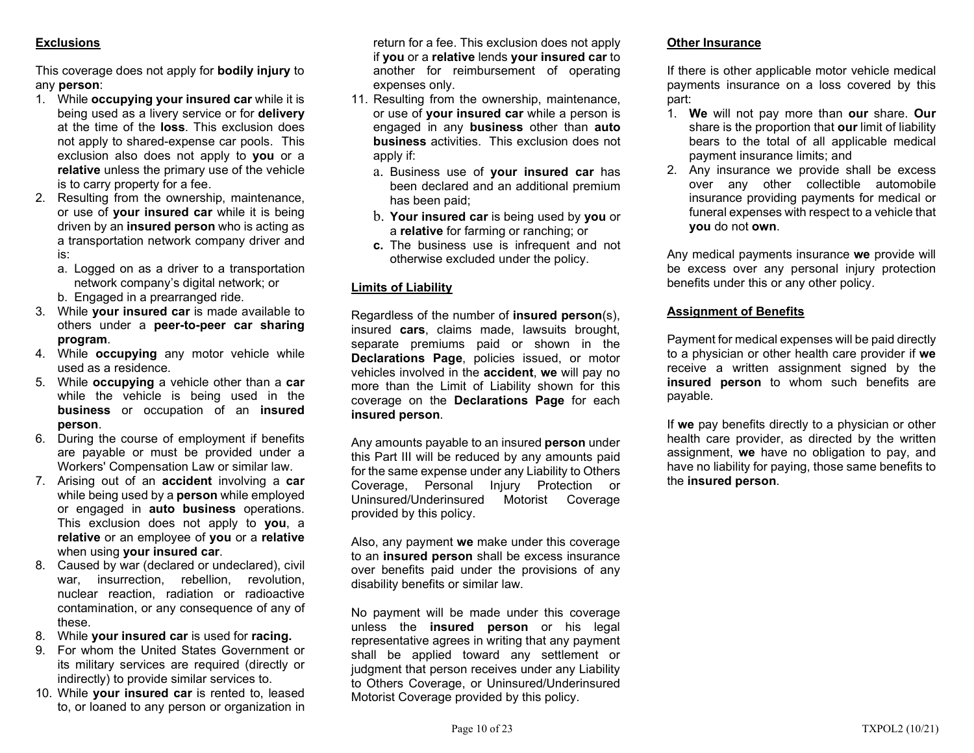# **Exclusions**

This coverage does not apply for **bodily injury** to any person:

- 1. While occupying your insured car while it is being used as a livery service or for delivery at the time of the loss. This exclusion does not apply to shared-expense car pools. This exclusion also does not apply to **you** or a relative unless the primary use of the vehicle is to carry property for a fee.
- 2. Resulting from the ownership, maintenance, or use of your insured car while it is being driven by an **insured person** who is acting as a transportation network company driver and is:
	- a. Logged on as a driver to a transportation network company's digital network; or b. Engaged in a prearranged ride.
- 3. While your insured car is made available to others under a peer-to-peer car sharing program.
- 4. While occupying any motor vehicle while used as a residence.
- 5. While occupying a vehicle other than a car while the vehicle is being used in the business or occupation of an insured person.
- 6. During the course of employment if benefits are payable or must be provided under a Workers' Compensation Law or similar law.
- 7. Arising out of an **accident** involving a car while being used by a **person** while employed or engaged in auto business operations. This exclusion does not apply to you, a relative or an employee of you or a relative when using your insured car.
- 8. Caused by war (declared or undeclared), civil war, insurrection, rebellion, revolution, nuclear reaction, radiation or radioactive contamination, or any consequence of any of these.
- 8. While your insured car is used for racing.
- 9. For whom the United States Government or its military services are required (directly or indirectly) to provide similar services to.
- 10. While your insured car is rented to, leased to, or loaned to any person or organization in

return for a fee. This exclusion does not apply if you or a relative lends your insured car to another for reimbursement of operating expenses only.

- 11. Resulting from the ownership, maintenance, or use of your insured car while a person is engaged in any business other than auto business activities. This exclusion does not apply if:
	- a. Business use of your insured car has been declared and an additional premium has been paid;
	- b. Your insured car is being used by you or a relative for farming or ranching; or
	- c. The business use is infrequent and not otherwise excluded under the policy.

# Limits of Liability

Regardless of the number of insured person(s), insured cars, claims made, lawsuits brought, separate premiums paid or shown in the Declarations Page, policies issued, or motor vehicles involved in the accident, we will pay no more than the Limit of Liability shown for this coverage on the Declarations Page for each insured person.

Any amounts payable to an insured **person** under this Part III will be reduced by any amounts paid for the same expense under any Liability to Others Coverage, Personal Injury Protection or Uninsured/Underinsured Motorist Coverage provided by this policy.

Also, any payment we make under this coverage to an **insured person** shall be excess insurance over benefits paid under the provisions of any disability benefits or similar law.

No payment will be made under this coverage unless the insured person or his legal representative agrees in writing that any payment shall be applied toward any settlement or judgment that person receives under any Liability to Others Coverage, or Uninsured/Underinsured Motorist Coverage provided by this policy.

#### Other Insurance

If there is other applicable motor vehicle medical payments insurance on a loss covered by this part:

- 1. We will not pay more than our share. Our share is the proportion that our limit of liability bears to the total of all applicable medical payment insurance limits; and
- 2. Any insurance we provide shall be excess over any other collectible automobile insurance providing payments for medical or funeral expenses with respect to a vehicle that you do not own.

Any medical payments insurance we provide will be excess over any personal injury protection benefits under this or any other policy.

#### Assignment of Benefits

Payment for medical expenses will be paid directly to a physician or other health care provider if we receive a written assignment signed by the insured person to whom such benefits are payable.

If we pay benefits directly to a physician or other health care provider, as directed by the written assignment, we have no obligation to pay, and have no liability for paying, those same benefits to the insured person.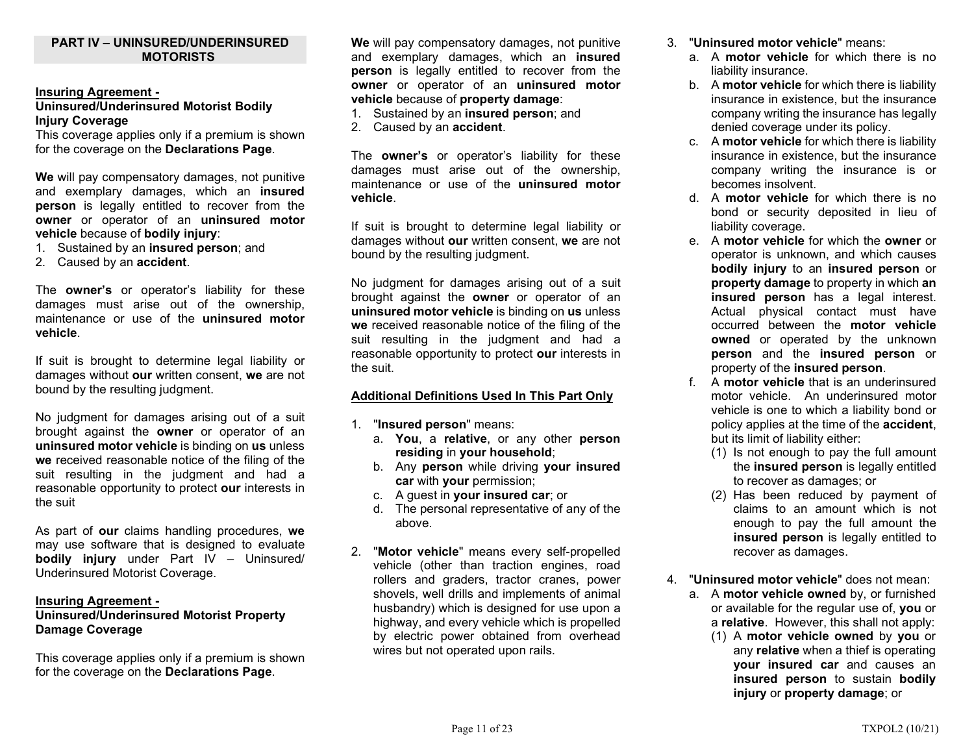#### PART IV – UNINSURED/UNDERINSURED **MOTORISTS**

#### Insuring Agreement -

#### Uninsured/Underinsured Motorist Bodily Injury Coverage

This coverage applies only if a premium is shown for the coverage on the Declarations Page.

We will pay compensatory damages, not punitive and exemplary damages, which an **insured** person is legally entitled to recover from the owner or operator of an uninsured motor vehicle because of bodily injury:

- 1. Sustained by an insured person; and
- 2. Caused by an **accident**.

The **owner's** or operator's liability for these damages must arise out of the ownership, maintenance or use of the uninsured motor vehicle.

If suit is brought to determine legal liability or damages without our written consent, we are not bound by the resulting judgment.

No judgment for damages arising out of a suit brought against the owner or operator of an uninsured motor vehicle is binding on us unless we received reasonable notice of the filing of the suit resulting in the judgment and had a reasonable opportunity to protect our interests in the suit

As part of our claims handling procedures, we may use software that is designed to evaluate bodily injury under Part IV – Uninsured/ Underinsured Motorist Coverage.

#### Insuring Agreement -

# Uninsured/Underinsured Motorist Property Damage Coverage

This coverage applies only if a premium is shown for the coverage on the Declarations Page.

We will pay compensatory damages, not punitive and exemplary damages, which an insured person is legally entitled to recover from the owner or operator of an uninsured motor vehicle because of property damage:

- 1. Sustained by an insured person; and
- 2. Caused by an **accident**.

The **owner's** or operator's liability for these damages must arise out of the ownership, maintenance or use of the uninsured motor vehicle.

If suit is brought to determine legal liability or damages without our written consent, we are not bound by the resulting judgment.

No judgment for damages arising out of a suit brought against the owner or operator of an uninsured motor vehicle is binding on us unless we received reasonable notice of the filing of the suit resulting in the judgment and had a reasonable opportunity to protect our interests in the suit.

#### Additional Definitions Used In This Part Only

- 1. "Insured person" means:
	- a. You, a relative, or any other person residing in your household;
	- b. Any person while driving your insured car with your permission;
	- c. A guest in your insured car; or
	- d. The personal representative of any of the above.
- 2. "Motor vehicle" means every self-propelled vehicle (other than traction engines, road rollers and graders, tractor cranes, power shovels, well drills and implements of animal husbandry) which is designed for use upon a highway, and every vehicle which is propelled by electric power obtained from overhead wires but not operated upon rails.
- 3. "Uninsured motor vehicle" means:
	- a. A motor vehicle for which there is no liability insurance.
	- b. A motor vehicle for which there is liability insurance in existence, but the insurance company writing the insurance has legally denied coverage under its policy.
	- c. A motor vehicle for which there is liability insurance in existence, but the insurance company writing the insurance is or becomes insolvent.
	- d. A motor vehicle for which there is no bond or security deposited in lieu of liability coverage.
	- e. A motor vehicle for which the owner or operator is unknown, and which causes bodily injury to an insured person or property damage to property in which an insured person has a legal interest. Actual physical contact must have occurred between the motor vehicle **owned** or operated by the unknown person and the insured person or property of the insured person.
	- f. A motor vehicle that is an underinsured motor vehicle. An underinsured motor vehicle is one to which a liability bond or policy applies at the time of the accident, but its limit of liability either:
		- (1) Is not enough to pay the full amount the insured person is legally entitled to recover as damages; or
		- (2) Has been reduced by payment of claims to an amount which is not enough to pay the full amount the insured person is legally entitled to recover as damages.
- 4. "Uninsured motor vehicle" does not mean:
	- a. A motor vehicle owned by, or furnished or available for the regular use of, you or a relative. However, this shall not apply:
		- (1) A motor vehicle owned by you or any relative when a thief is operating your insured car and causes an insured person to sustain bodily injury or property damage; or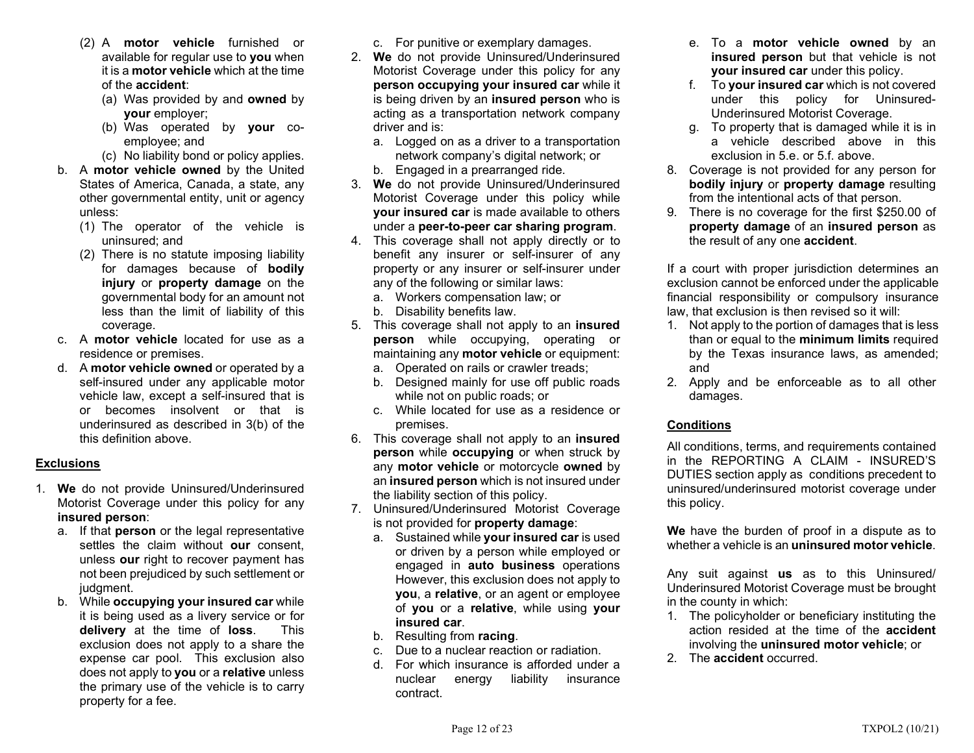- (2) A motor vehicle furnished or available for regular use to you when it is a motor vehicle which at the time of the accident:
	- (a) Was provided by and owned by your employer;
	- (b) Was operated by your coemployee; and
	- (c) No liability bond or policy applies.
- b. A motor vehicle owned by the United States of America, Canada, a state, any other governmental entity, unit or agency unless:
	- (1) The operator of the vehicle is uninsured; and
	- (2) There is no statute imposing liability for damages because of bodily injury or property damage on the governmental body for an amount not less than the limit of liability of this coverage.
- c. A motor vehicle located for use as a residence or premises.
- d. A motor vehicle owned or operated by a self-insured under any applicable motor vehicle law, except a self-insured that is or becomes insolvent or that is underinsured as described in 3(b) of the this definition above.

# Exclusions

- 1. We do not provide Uninsured/Underinsured Motorist Coverage under this policy for any insured person:
	- a. If that person or the legal representative settles the claim without our consent. unless our right to recover payment has not been prejudiced by such settlement or judgment.
	- b. While occupying your insured car while it is being used as a livery service or for delivery at the time of loss. This exclusion does not apply to a share the expense car pool. This exclusion also does not apply to you or a relative unless the primary use of the vehicle is to carry property for a fee.
- c. For punitive or exemplary damages.
- 2. We do not provide Uninsured/Underinsured Motorist Coverage under this policy for any person occupying your insured car while it is being driven by an **insured person** who is acting as a transportation network company driver and is:
	- a. Logged on as a driver to a transportation network company's digital network; or
	- b. Engaged in a prearranged ride.
- 3. We do not provide Uninsured/Underinsured Motorist Coverage under this policy while your insured car is made available to others under a peer-to-peer car sharing program.
- 4. This coverage shall not apply directly or to benefit any insurer or self-insurer of any property or any insurer or self-insurer under any of the following or similar laws:
	- a. Workers compensation law; or
	- b. Disability benefits law.
- 5. This coverage shall not apply to an insured person while occupying, operating or maintaining any motor vehicle or equipment:
	- a. Operated on rails or crawler treads;
	- b. Designed mainly for use off public roads while not on public roads; or
	- c. While located for use as a residence or premises.
- 6. This coverage shall not apply to an insured person while occupying or when struck by any motor vehicle or motorcycle owned by an insured person which is not insured under the liability section of this policy.
- 7. Uninsured/Underinsured Motorist Coverage is not provided for property damage:
	- a. Sustained while your insured car is used or driven by a person while employed or engaged in auto business operations However, this exclusion does not apply to you, a relative, or an agent or employee of you or a relative, while using your insured car.
	- b. Resulting from racing.
	- c. Due to a nuclear reaction or radiation.
	- d. For which insurance is afforded under a nuclear energy liability insurance contract.
- e. To a motor vehicle owned by an insured person but that vehicle is not your insured car under this policy.
- f. To your insured car which is not covered under this policy for Uninsured-Underinsured Motorist Coverage.
- g. To property that is damaged while it is in a vehicle described above in this exclusion in 5.e. or 5.f. above.
- 8. Coverage is not provided for any person for bodily injury or property damage resulting from the intentional acts of that person.
- 9. There is no coverage for the first \$250.00 of property damage of an insured person as the result of any one accident.

If a court with proper jurisdiction determines an exclusion cannot be enforced under the applicable financial responsibility or compulsory insurance law, that exclusion is then revised so it will:

- 1. Not apply to the portion of damages that is less than or equal to the minimum limits required by the Texas insurance laws, as amended; and
- 2. Apply and be enforceable as to all other damages.

# Conditions

All conditions, terms, and requirements contained in the REPORTING A CLAIM - INSURED'S DUTIES section apply as conditions precedent to uninsured/underinsured motorist coverage under this policy.

We have the burden of proof in a dispute as to whether a vehicle is an uninsured motor vehicle.

Any suit against us as to this Uninsured/ Underinsured Motorist Coverage must be brought in the county in which:

- 1. The policyholder or beneficiary instituting the action resided at the time of the accident involving the uninsured motor vehicle; or
- 2. The accident occurred.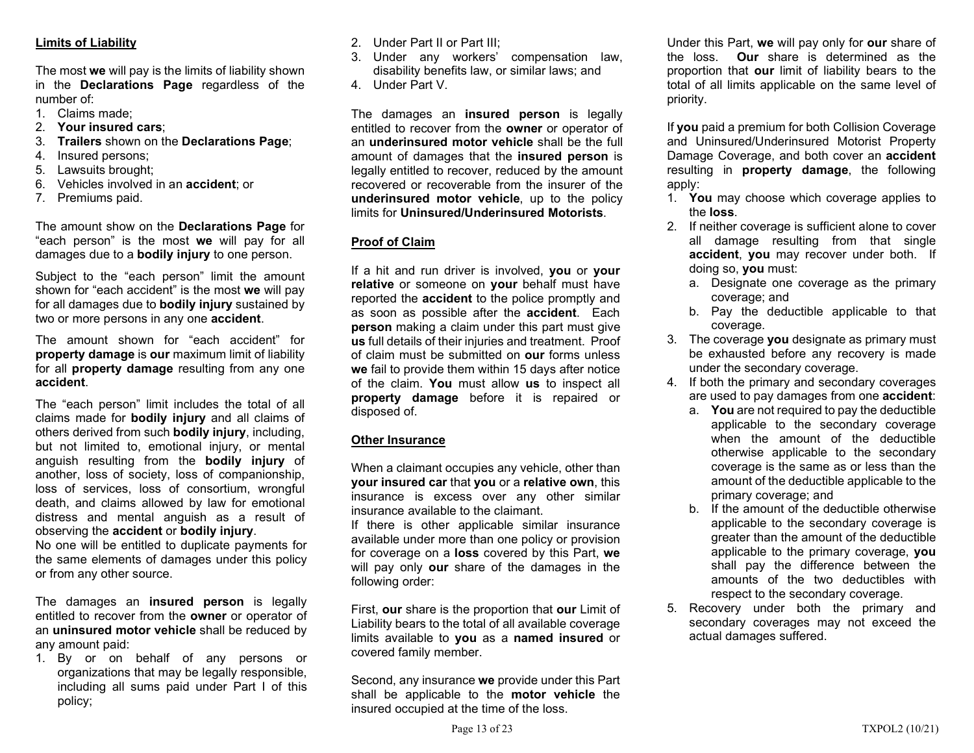# Limits of Liability

The most we will pay is the limits of liability shown in the Declarations Page regardless of the number of:

- 1. Claims made;
- 2. Your insured cars;
- 3. Trailers shown on the Declarations Page;
- 4. Insured persons;
- 5. Lawsuits brought;
- 6. Vehicles involved in an accident; or
- 7. Premiums paid.

The amount show on the Declarations Page for "each person" is the most we will pay for all damages due to a **bodily injury** to one person.

Subject to the "each person" limit the amount shown for "each accident" is the most we will pay for all damages due to **bodily injury** sustained by two or more persons in any one **accident**.

The amount shown for "each accident" for property damage is our maximum limit of liability for all property damage resulting from any one accident.

The "each person" limit includes the total of all claims made for bodily injury and all claims of others derived from such bodily injury, including, but not limited to, emotional injury, or mental anguish resulting from the bodily injury of another, loss of society, loss of companionship, loss of services, loss of consortium, wrongful death, and claims allowed by law for emotional distress and mental anguish as a result of observing the accident or bodily injury.

No one will be entitled to duplicate payments for the same elements of damages under this policy or from any other source.

The damages an **insured person** is legally entitled to recover from the **owner** or operator of an uninsured motor vehicle shall be reduced by any amount paid:

1. By or on behalf of any persons or organizations that may be legally responsible, including all sums paid under Part I of this policy;

- 2. Under Part II or Part III;
- 3. Under any workers' compensation law, disability benefits law, or similar laws; and
- 4. Under Part V.

The damages an insured person is legally entitled to recover from the owner or operator of an underinsured motor vehicle shall be the full amount of damages that the insured person is legally entitled to recover, reduced by the amount recovered or recoverable from the insurer of the underinsured motor vehicle, up to the policy limits for Uninsured/Underinsured Motorists.

# Proof of Claim

If a hit and run driver is involved, you or your relative or someone on your behalf must have reported the **accident** to the police promptly and as soon as possible after the accident. Each person making a claim under this part must give us full details of their injuries and treatment. Proof of claim must be submitted on our forms unless we fail to provide them within 15 days after notice of the claim. You must allow us to inspect all property damage before it is repaired or disposed of.

# Other Insurance

When a claimant occupies any vehicle, other than your insured car that you or a relative own, this insurance is excess over any other similar insurance available to the claimant.

If there is other applicable similar insurance available under more than one policy or provision for coverage on a **loss** covered by this Part, we will pay only our share of the damages in the following order:

First, our share is the proportion that our Limit of Liability bears to the total of all available coverage limits available to you as a named insured or covered family member.

Second, any insurance we provide under this Part shall be applicable to the **motor vehicle** the insured occupied at the time of the loss.

Under this Part, we will pay only for our share of the loss. Our share is determined as the proportion that our limit of liability bears to the total of all limits applicable on the same level of priority.

If you paid a premium for both Collision Coverage and Uninsured/Underinsured Motorist Property Damage Coverage, and both cover an accident resulting in property damage, the following apply:

- 1. You may choose which coverage applies to the loss.
- 2. If neither coverage is sufficient alone to cover all damage resulting from that single accident, you may recover under both. If doing so, you must:
	- a. Designate one coverage as the primary coverage; and
	- b. Pay the deductible applicable to that coverage.
- 3. The coverage you designate as primary must be exhausted before any recovery is made under the secondary coverage.
- 4. If both the primary and secondary coverages are used to pay damages from one accident:
	- a. You are not required to pay the deductible applicable to the secondary coverage when the amount of the deductible otherwise applicable to the secondary coverage is the same as or less than the amount of the deductible applicable to the primary coverage; and
	- b. If the amount of the deductible otherwise applicable to the secondary coverage is greater than the amount of the deductible applicable to the primary coverage, you shall pay the difference between the amounts of the two deductibles with respect to the secondary coverage.
- 5. Recovery under both the primary and secondary coverages may not exceed the actual damages suffered.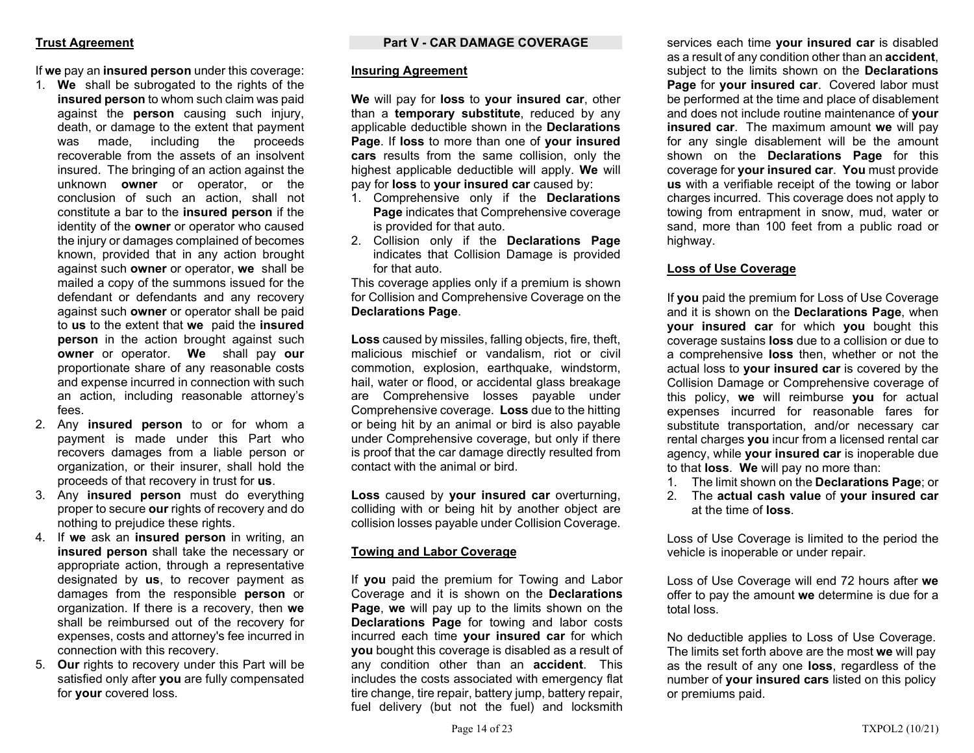### Trust Agreement

If we pay an insured person under this coverage:

- 1. We shall be subrogated to the rights of the insured person to whom such claim was paid against the person causing such injury, death, or damage to the extent that payment was made, including the proceeds recoverable from the assets of an insolvent insured. The bringing of an action against the unknown owner or operator, or the conclusion of such an action, shall not constitute a bar to the insured person if the identity of the owner or operator who caused the injury or damages complained of becomes known, provided that in any action brought against such owner or operator, we shall be mailed a copy of the summons issued for the defendant or defendants and any recovery against such owner or operator shall be paid to us to the extent that we paid the insured **person** in the action brought against such owner or operator. We shall pay our proportionate share of any reasonable costs and expense incurred in connection with such an action, including reasonable attorney's fees.
- 2. Any insured person to or for whom a payment is made under this Part who recovers damages from a liable person or organization, or their insurer, shall hold the proceeds of that recovery in trust for us.
- 3. Any insured person must do everything proper to secure our rights of recovery and do nothing to prejudice these rights.
- 4. If we ask an insured person in writing, an insured person shall take the necessary or appropriate action, through a representative designated by us, to recover payment as damages from the responsible person or organization. If there is a recovery, then we shall be reimbursed out of the recovery for expenses, costs and attorney's fee incurred in connection with this recovery.
- 5. Our rights to recovery under this Part will be satisfied only after **you** are fully compensated for your covered loss.

#### Part V - CAR DAMAGE COVERAGE

#### Insuring Agreement

We will pay for **loss** to your insured car, other than a temporary substitute, reduced by any applicable deductible shown in the Declarations Page. If loss to more than one of your insured cars results from the same collision, only the highest applicable deductible will apply. We will pay for loss to your insured car caused by:

- 1. Comprehensive only if the Declarations Page indicates that Comprehensive coverage is provided for that auto.
- 2. Collision only if the Declarations Page indicates that Collision Damage is provided for that auto.

This coverage applies only if a premium is shown for Collision and Comprehensive Coverage on the Declarations Page.

Loss caused by missiles, falling objects, fire, theft, malicious mischief or vandalism, riot or civil commotion, explosion, earthquake, windstorm, hail, water or flood, or accidental glass breakage are Comprehensive losses payable under Comprehensive coverage. Loss due to the hitting or being hit by an animal or bird is also payable under Comprehensive coverage, but only if there is proof that the car damage directly resulted from contact with the animal or bird.

Loss caused by your insured car overturning, colliding with or being hit by another object are collision losses payable under Collision Coverage.

# Towing and Labor Coverage

If you paid the premium for Towing and Labor Coverage and it is shown on the Declarations Page, we will pay up to the limits shown on the Declarations Page for towing and labor costs incurred each time your insured car for which you bought this coverage is disabled as a result of any condition other than an **accident**. This includes the costs associated with emergency flat tire change, tire repair, battery jump, battery repair, fuel delivery (but not the fuel) and locksmith

services each time your insured car is disabled as a result of any condition other than an **accident**, subject to the limits shown on the **Declarations** Page for your insured car. Covered labor must be performed at the time and place of disablement and does not include routine maintenance of your insured car. The maximum amount we will pay for any single disablement will be the amount shown on the **Declarations Page** for this coverage for your insured car. You must provide us with a verifiable receipt of the towing or labor charges incurred. This coverage does not apply to towing from entrapment in snow, mud, water or sand, more than 100 feet from a public road or highway.

### Loss of Use Coverage

If you paid the premium for Loss of Use Coverage and it is shown on the **Declarations Page**, when your insured car for which you bought this coverage sustains loss due to a collision or due to a comprehensive loss then, whether or not the actual loss to your insured car is covered by the Collision Damage or Comprehensive coverage of this policy, we will reimburse you for actual expenses incurred for reasonable fares for substitute transportation, and/or necessary car rental charges you incur from a licensed rental car agency, while your insured car is inoperable due to that loss. We will pay no more than:

- 1. The limit shown on the Declarations Page; or
- 2. The actual cash value of your insured car at the time of loss.

Loss of Use Coverage is limited to the period the vehicle is inoperable or under repair.

Loss of Use Coverage will end 72 hours after we offer to pay the amount we determine is due for a total loss.

No deductible applies to Loss of Use Coverage. The limits set forth above are the most we will pay as the result of any one loss, regardless of the number of your insured cars listed on this policy or premiums paid.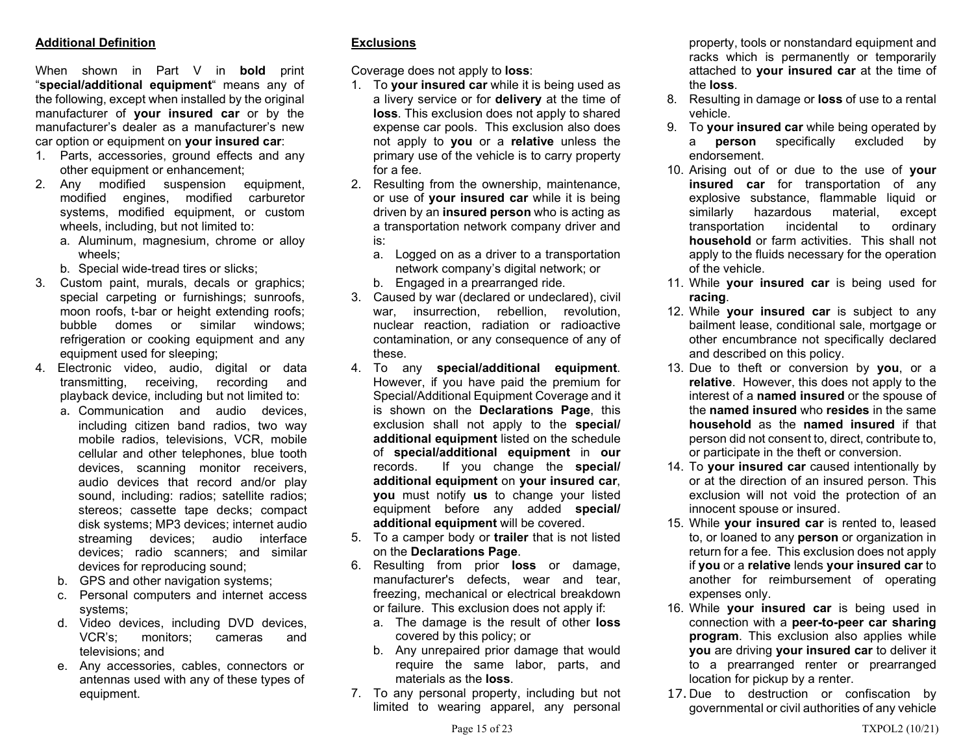# Additional Definition

When shown in Part V in **bold** print "special/additional equipment" means any of the following, except when installed by the original manufacturer of your insured car or by the manufacturer's dealer as a manufacturer's new car option or equipment on your insured car:

- 1. Parts, accessories, ground effects and any other equipment or enhancement;
- 2. Any modified suspension equipment, modified engines, modified carburetor systems, modified equipment, or custom wheels, including, but not limited to:
	- a. Aluminum, magnesium, chrome or alloy wheels;
	- b. Special wide-tread tires or slicks;
- 3. Custom paint, murals, decals or graphics; special carpeting or furnishings; sunroofs, moon roofs, t-bar or height extending roofs; bubble domes or similar windows; refrigeration or cooking equipment and any equipment used for sleeping;
- 4. Electronic video, audio, digital or data transmitting, receiving, recording and playback device, including but not limited to:
	- a. Communication and audio devices, including citizen band radios, two way mobile radios, televisions, VCR, mobile cellular and other telephones, blue tooth devices, scanning monitor receivers, audio devices that record and/or play sound, including: radios; satellite radios; stereos; cassette tape decks; compact disk systems; MP3 devices; internet audio streaming devices; audio interface devices; radio scanners; and similar devices for reproducing sound;
	- b. GPS and other navigation systems;
	- c. Personal computers and internet access systems;
	- d. Video devices, including DVD devices, VCR's; monitors; cameras and televisions; and
	- e. Any accessories, cables, connectors or antennas used with any of these types of equipment.

# **Exclusions**

Coverage does not apply to loss:

- 1. To your insured car while it is being used as a livery service or for **delivery** at the time of loss. This exclusion does not apply to shared expense car pools. This exclusion also does not apply to you or a relative unless the primary use of the vehicle is to carry property for a fee.
- 2. Resulting from the ownership, maintenance, or use of your insured car while it is being driven by an **insured person** who is acting as a transportation network company driver and is:
	- a. Logged on as a driver to a transportation network company's digital network; or b. Engaged in a prearranged ride.
- 3. Caused by war (declared or undeclared), civil war, insurrection, rebellion, revolution, nuclear reaction, radiation or radioactive contamination, or any consequence of any of these.
- 4. To any special/additional equipment. However, if you have paid the premium for Special/Additional Equipment Coverage and it is shown on the Declarations Page, this exclusion shall not apply to the special/ additional equipment listed on the schedule of special/additional equipment in our records. If you change the special/ additional equipment on your insured car, you must notify us to change your listed equipment before any added special/ additional equipment will be covered.
- 5. To a camper body or trailer that is not listed on the Declarations Page.
- 6. Resulting from prior loss or damage, manufacturer's defects, wear and tear, freezing, mechanical or electrical breakdown or failure. This exclusion does not apply if:
	- a. The damage is the result of other **loss** covered by this policy; or
	- b. Any unrepaired prior damage that would require the same labor, parts, and materials as the loss.
- 7. To any personal property, including but not limited to wearing apparel, any personal

property, tools or nonstandard equipment and racks which is permanently or temporarily attached to your insured car at the time of the loss.

- 8. Resulting in damage or loss of use to a rental vehicle.
- 9. To your insured car while being operated by a person specifically excluded by endorsement.
- 10. Arising out of or due to the use of your insured car for transportation of any explosive substance, flammable liquid or similarly hazardous material, except transportation incidental to ordinary household or farm activities. This shall not apply to the fluids necessary for the operation of the vehicle.
- 11. While your insured car is being used for racing.
- 12. While your insured car is subject to any bailment lease, conditional sale, mortgage or other encumbrance not specifically declared and described on this policy.
- 13. Due to theft or conversion by you, or a relative. However, this does not apply to the interest of a named insured or the spouse of the named insured who resides in the same household as the named insured if that person did not consent to, direct, contribute to, or participate in the theft or conversion.
- 14. To your insured car caused intentionally by or at the direction of an insured person. This exclusion will not void the protection of an innocent spouse or insured.
- 15. While your insured car is rented to, leased to, or loaned to any person or organization in return for a fee. This exclusion does not apply if you or a relative lends your insured car to another for reimbursement of operating expenses only.
- 16. While your insured car is being used in connection with a peer-to-peer car sharing program. This exclusion also applies while you are driving your insured car to deliver it to a prearranged renter or prearranged location for pickup by a renter.
- 17. Due to destruction or confiscation by governmental or civil authorities of any vehicle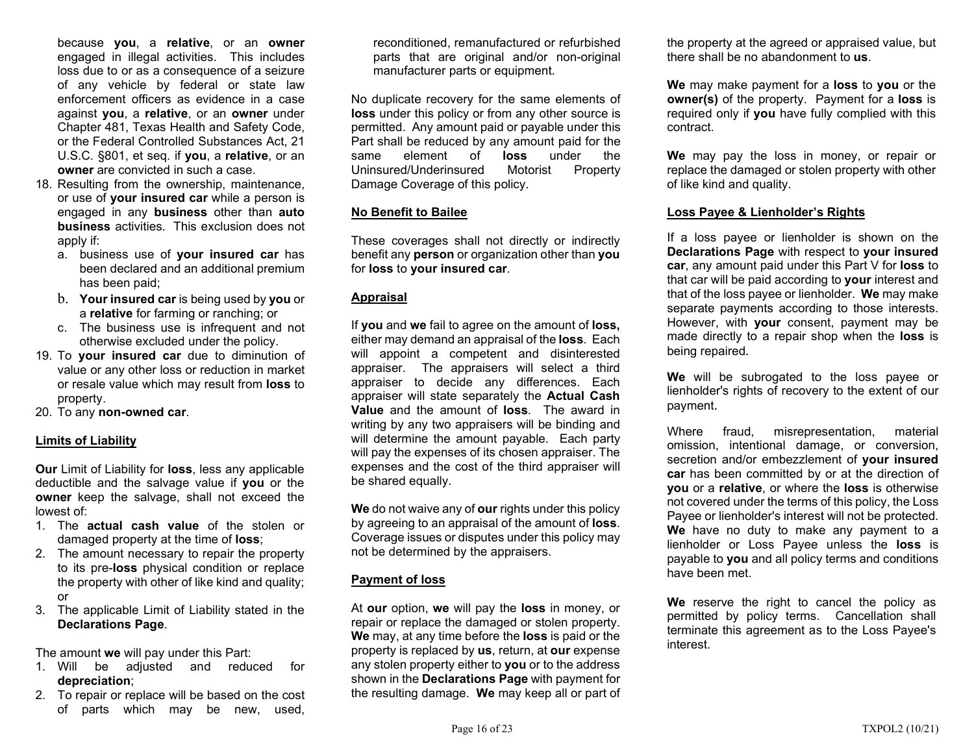because you, a relative, or an owner engaged in illegal activities. This includes loss due to or as a consequence of a seizure of any vehicle by federal or state law enforcement officers as evidence in a case against you, a relative, or an owner under Chapter 481, Texas Health and Safety Code, or the Federal Controlled Substances Act, 21 U.S.C. §801, et seq. if you, a relative, or an owner are convicted in such a case.

- 18. Resulting from the ownership, maintenance, or use of your insured car while a person is engaged in any business other than auto business activities. This exclusion does not apply if:
	- a. business use of your insured car has been declared and an additional premium has been paid;
	- b. Your insured car is being used by you or a relative for farming or ranching; or
	- c. The business use is infrequent and not otherwise excluded under the policy.
- 19. To your insured car due to diminution of value or any other loss or reduction in market or resale value which may result from loss to property.
- 20. To any non-owned car.

# Limits of Liability

Our Limit of Liability for loss, less any applicable deductible and the salvage value if you or the owner keep the salvage, shall not exceed the lowest of:

- 1. The actual cash value of the stolen or damaged property at the time of loss;
- 2. The amount necessary to repair the property to its pre-loss physical condition or replace the property with other of like kind and quality; or
- 3. The applicable Limit of Liability stated in the Declarations Page.

The amount we will pay under this Part:

- 1. Will be adjusted and reduced for depreciation;
- 2. To repair or replace will be based on the cost of parts which may be new, used,

reconditioned, remanufactured or refurbished parts that are original and/or non-original manufacturer parts or equipment.

No duplicate recovery for the same elements of loss under this policy or from any other source is permitted. Any amount paid or payable under this Part shall be reduced by any amount paid for the same element of **loss** under the Uninsured/Underinsured Motorist Property Damage Coverage of this policy.

# No Benefit to Bailee

These coverages shall not directly or indirectly benefit any **person** or organization other than you for loss to your insured car.

# **Appraisal**

If you and we fail to agree on the amount of loss, either may demand an appraisal of the loss. Each will appoint a competent and disinterested appraiser. The appraisers will select a third appraiser to decide any differences. Each appraiser will state separately the Actual Cash Value and the amount of loss. The award in writing by any two appraisers will be binding and will determine the amount payable. Each party will pay the expenses of its chosen appraiser. The expenses and the cost of the third appraiser will be shared equally.

We do not waive any of our rights under this policy by agreeing to an appraisal of the amount of **loss**. Coverage issues or disputes under this policy may not be determined by the appraisers.

# Payment of loss

At our option, we will pay the loss in money, or repair or replace the damaged or stolen property. We may, at any time before the loss is paid or the property is replaced by us, return, at our expense any stolen property either to you or to the address shown in the Declarations Page with payment for the resulting damage. We may keep all or part of the property at the agreed or appraised value, but there shall be no abandonment to us.

We may make payment for a loss to you or the **owner(s)** of the property. Payment for a **loss** is required only if you have fully complied with this contract.

We may pay the loss in money, or repair or replace the damaged or stolen property with other of like kind and quality.

### Loss Payee & Lienholder's Rights

If a loss payee or lienholder is shown on the Declarations Page with respect to your insured car, any amount paid under this Part V for loss to that car will be paid according to your interest and that of the loss payee or lienholder. We may make separate payments according to those interests. However, with your consent, payment may be made directly to a repair shop when the **loss** is being repaired.

We will be subrogated to the loss payee or lienholder's rights of recovery to the extent of our payment.

Where fraud, misrepresentation, material omission, intentional damage, or conversion, secretion and/or embezzlement of your insured car has been committed by or at the direction of you or a relative, or where the loss is otherwise not covered under the terms of this policy, the Loss Payee or lienholder's interest will not be protected. We have no duty to make any payment to a lienholder or Loss Payee unless the loss is payable to you and all policy terms and conditions have been met.

We reserve the right to cancel the policy as permitted by policy terms. Cancellation shall terminate this agreement as to the Loss Payee's interest.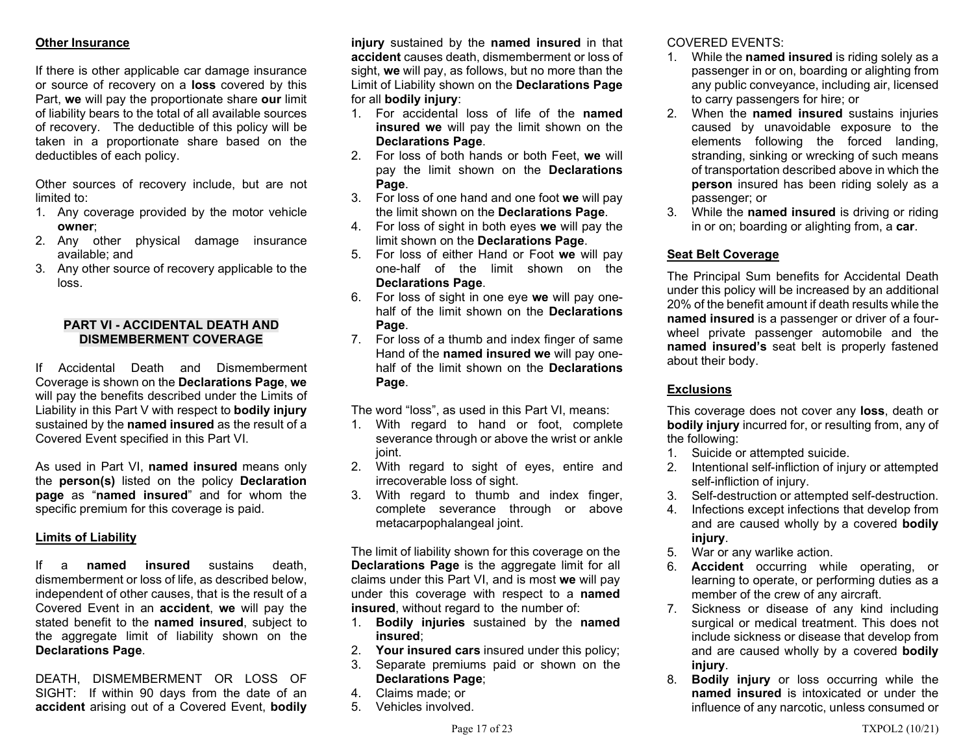# Other Insurance

If there is other applicable car damage insurance or source of recovery on a loss covered by this Part, we will pay the proportionate share our limit of liability bears to the total of all available sources of recovery. The deductible of this policy will be taken in a proportionate share based on the deductibles of each policy.

Other sources of recovery include, but are not limited to:

- 1. Any coverage provided by the motor vehicle owner;
- 2. Any other physical damage insurance available; and
- 3. Any other source of recovery applicable to the loss.

### PART VI - ACCIDENTAL DEATH AND DISMEMBERMENT COVERAGE

If Accidental Death and Dismemberment Coverage is shown on the Declarations Page, we will pay the benefits described under the Limits of Liability in this Part V with respect to bodily injury sustained by the named insured as the result of a Covered Event specified in this Part VI.

As used in Part VI, named insured means only the person(s) listed on the policy Declaration page as "named insured" and for whom the specific premium for this coverage is paid.

#### Limits of Liability

If a named insured sustains death, dismemberment or loss of life, as described below, independent of other causes, that is the result of a Covered Event in an accident, we will pay the stated benefit to the named insured, subject to the aggregate limit of liability shown on the Declarations Page.

DEATH, DISMEMBERMENT OR LOSS OF SIGHT: If within 90 days from the date of an accident arising out of a Covered Event, bodily

injury sustained by the named insured in that accident causes death, dismemberment or loss of sight, we will pay, as follows, but no more than the Limit of Liability shown on the Declarations Page for all bodily injury:

- 1. For accidental loss of life of the named insured we will pay the limit shown on the Declarations Page.
- 2. For loss of both hands or both Feet, we will pay the limit shown on the Declarations Page.
- 3. For loss of one hand and one foot we will pay the limit shown on the Declarations Page.
- 4. For loss of sight in both eyes we will pay the limit shown on the Declarations Page.
- 5. For loss of either Hand or Foot we will pay one-half of the limit shown on the Declarations Page.
- 6. For loss of sight in one eye we will pay onehalf of the limit shown on the Declarations Page.
- 7. For loss of a thumb and index finger of same Hand of the named insured we will pay onehalf of the limit shown on the Declarations Page.

The word "loss", as used in this Part VI, means:

- 1. With regard to hand or foot, complete severance through or above the wrist or ankle joint.
- 2. With regard to sight of eyes, entire and irrecoverable loss of sight.
- 3. With regard to thumb and index finger, complete severance through or above metacarpophalangeal joint.

The limit of liability shown for this coverage on the Declarations Page is the aggregate limit for all claims under this Part VI, and is most we will pay under this coverage with respect to a named insured, without regard to the number of:

- 1. Bodily injuries sustained by the named insured;
- 2. Your insured cars insured under this policy;
- 3. Separate premiums paid or shown on the Declarations Page;
- 4. Claims made; or
- 5. Vehicles involved.

COVERED EVENTS:

- 1. While the named insured is riding solely as a passenger in or on, boarding or alighting from any public conveyance, including air, licensed to carry passengers for hire; or
- 2. When the named insured sustains injuries caused by unavoidable exposure to the elements following the forced landing, stranding, sinking or wrecking of such means of transportation described above in which the person insured has been riding solely as a passenger; or
- 3. While the named insured is driving or riding in or on; boarding or alighting from, a car.

# Seat Belt Coverage

The Principal Sum benefits for Accidental Death under this policy will be increased by an additional 20% of the benefit amount if death results while the named insured is a passenger or driver of a fourwheel private passenger automobile and the named insured's seat belt is properly fastened about their body.

# **Exclusions**

This coverage does not cover any loss, death or bodily injury incurred for, or resulting from, any of the following:

- 1. Suicide or attempted suicide.
- 2. Intentional self-infliction of injury or attempted self-infliction of injury.
- 3. Self-destruction or attempted self-destruction.
- 4. Infections except infections that develop from and are caused wholly by a covered bodily injury.
- 5. War or any warlike action.
- 6. Accident occurring while operating, or learning to operate, or performing duties as a member of the crew of any aircraft.
- 7. Sickness or disease of any kind including surgical or medical treatment. This does not include sickness or disease that develop from and are caused wholly by a covered **bodily** injury.
- 8. Bodily injury or loss occurring while the named insured is intoxicated or under the influence of any narcotic, unless consumed or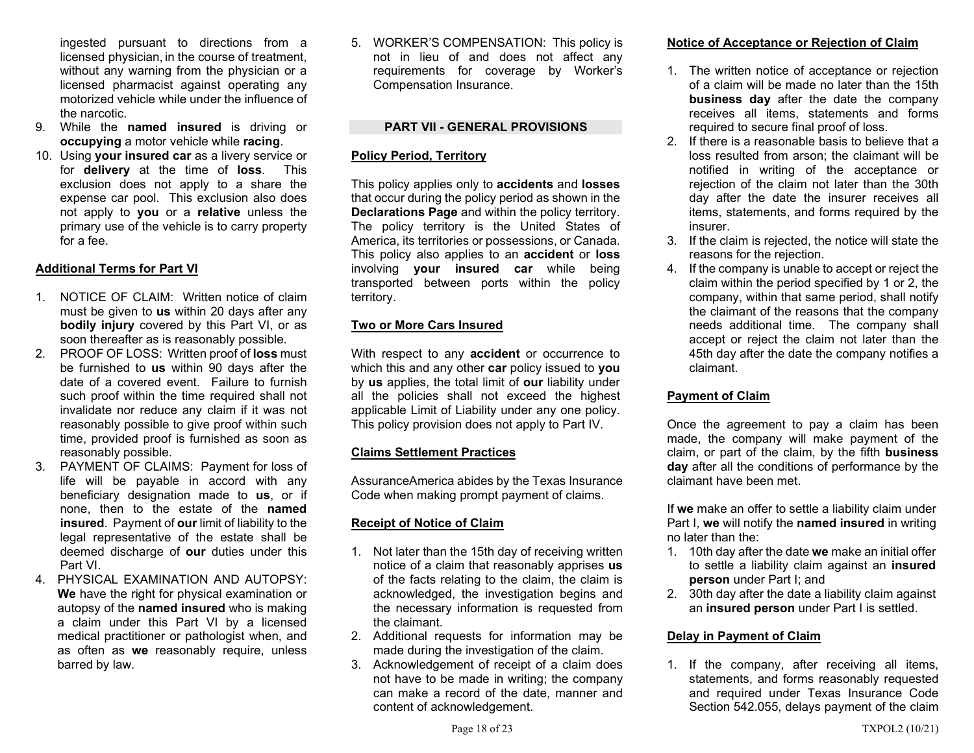ingested pursuant to directions from a licensed physician, in the course of treatment, without any warning from the physician or a licensed pharmacist against operating any motorized vehicle while under the influence of the narcotic.

- 9. While the named insured is driving or occupying a motor vehicle while racing.
- 10. Using your insured car as a livery service or for delivery at the time of loss. This exclusion does not apply to a share the expense car pool. This exclusion also does not apply to you or a relative unless the primary use of the vehicle is to carry property for a fee.

# Additional Terms for Part VI

- 1. NOTICE OF CLAIM: Written notice of claim must be given to **us** within 20 days after any bodily injury covered by this Part VI, or as soon thereafter as is reasonably possible.
- 2. PROOF OF LOSS: Written proof of loss must be furnished to **us** within 90 days after the date of a covered event. Failure to furnish such proof within the time required shall not invalidate nor reduce any claim if it was not reasonably possible to give proof within such time, provided proof is furnished as soon as reasonably possible.
- 3. PAYMENT OF CLAIMS: Payment for loss of life will be payable in accord with any beneficiary designation made to us, or if none, then to the estate of the named insured. Payment of our limit of liability to the legal representative of the estate shall be deemed discharge of our duties under this Part VI.
- 4. PHYSICAL EXAMINATION AND AUTOPSY: We have the right for physical examination or autopsy of the named insured who is making a claim under this Part VI by a licensed medical practitioner or pathologist when, and as often as we reasonably require, unless barred by law.

5. WORKER'S COMPENSATION: This policy is not in lieu of and does not affect any requirements for coverage by Worker's Compensation Insurance.

# PART VII - GENERAL PROVISIONS

# Policy Period, Territory

This policy applies only to **accidents** and **losses** that occur during the policy period as shown in the Declarations Page and within the policy territory. The policy territory is the United States of America, its territories or possessions, or Canada. This policy also applies to an **accident** or **loss** involving your insured car while being transported between ports within the policy territory.

# Two or More Cars Insured

With respect to any **accident** or occurrence to which this and any other car policy issued to you by us applies, the total limit of our liability under all the policies shall not exceed the highest applicable Limit of Liability under any one policy. This policy provision does not apply to Part IV.

# Claims Settlement Practices

AssuranceAmerica abides by the Texas Insurance Code when making prompt payment of claims.

# Receipt of Notice of Claim

- 1. Not later than the 15th day of receiving written notice of a claim that reasonably apprises us of the facts relating to the claim, the claim is acknowledged, the investigation begins and the necessary information is requested from the claimant.
- 2. Additional requests for information may be made during the investigation of the claim.
- 3. Acknowledgement of receipt of a claim does not have to be made in writing; the company can make a record of the date, manner and content of acknowledgement.

# Notice of Acceptance or Rejection of Claim

- 1. The written notice of acceptance or rejection of a claim will be made no later than the 15th business day after the date the company receives all items, statements and forms required to secure final proof of loss.
- 2. If there is a reasonable basis to believe that a loss resulted from arson; the claimant will be notified in writing of the acceptance or rejection of the claim not later than the 30th day after the date the insurer receives all items, statements, and forms required by the insurer.
- 3. If the claim is rejected, the notice will state the reasons for the rejection.
- 4. If the company is unable to accept or reject the claim within the period specified by 1 or 2, the company, within that same period, shall notify the claimant of the reasons that the company needs additional time. The company shall accept or reject the claim not later than the 45th day after the date the company notifies a claimant.

# Payment of Claim

Once the agreement to pay a claim has been made, the company will make payment of the claim, or part of the claim, by the fifth business day after all the conditions of performance by the claimant have been met.

If we make an offer to settle a liability claim under Part I, we will notify the named insured in writing no later than the:

- 1. 10th day after the date we make an initial offer to settle a liability claim against an insured person under Part I; and
- 2. 30th day after the date a liability claim against an insured person under Part I is settled.

# Delay in Payment of Claim

1. If the company, after receiving all items, statements, and forms reasonably requested and required under Texas Insurance Code Section 542.055, delays payment of the claim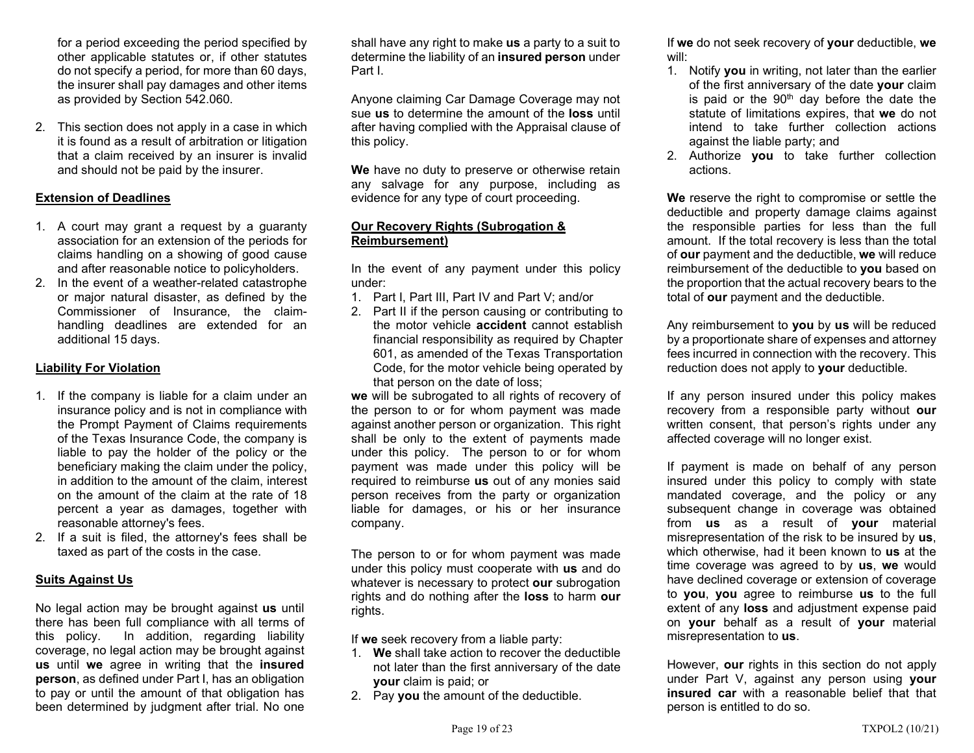for a period exceeding the period specified by other applicable statutes or, if other statutes do not specify a period, for more than 60 days, the insurer shall pay damages and other items as provided by Section 542.060.

2. This section does not apply in a case in which it is found as a result of arbitration or litigation that a claim received by an insurer is invalid and should not be paid by the insurer.

# Extension of Deadlines

- 1. A court may grant a request by a guaranty association for an extension of the periods for claims handling on a showing of good cause and after reasonable notice to policyholders.
- 2. In the event of a weather-related catastrophe or major natural disaster, as defined by the Commissioner of Insurance, the claimhandling deadlines are extended for an additional 15 days.

### Liability For Violation

- 1. If the company is liable for a claim under an insurance policy and is not in compliance with the Prompt Payment of Claims requirements of the Texas Insurance Code, the company is liable to pay the holder of the policy or the beneficiary making the claim under the policy, in addition to the amount of the claim, interest on the amount of the claim at the rate of 18 percent a year as damages, together with reasonable attorney's fees.
- 2. If a suit is filed, the attorney's fees shall be taxed as part of the costs in the case.

# Suits Against Us

No legal action may be brought against us until there has been full compliance with all terms of this policy. In addition, regarding liability coverage, no legal action may be brought against us until we agree in writing that the insured person, as defined under Part I, has an obligation to pay or until the amount of that obligation has been determined by judgment after trial. No one

shall have any right to make us a party to a suit to determine the liability of an insured person under Part I.

Anyone claiming Car Damage Coverage may not sue us to determine the amount of the loss until after having complied with the Appraisal clause of this policy.

We have no duty to preserve or otherwise retain any salvage for any purpose, including as evidence for any type of court proceeding.

### Our Recovery Rights (Subrogation & Reimbursement)

In the event of any payment under this policy under:

- 1. Part I, Part III, Part IV and Part V; and/or
- 2. Part II if the person causing or contributing to the motor vehicle **accident** cannot establish financial responsibility as required by Chapter 601, as amended of the Texas Transportation Code, for the motor vehicle being operated by that person on the date of loss;

we will be subrogated to all rights of recovery of the person to or for whom payment was made against another person or organization. This right shall be only to the extent of payments made under this policy. The person to or for whom payment was made under this policy will be required to reimburse us out of any monies said person receives from the party or organization liable for damages, or his or her insurance company.

The person to or for whom payment was made under this policy must cooperate with us and do whatever is necessary to protect our subrogation rights and do nothing after the loss to harm our rights.

If we seek recovery from a liable party:

- 1. We shall take action to recover the deductible not later than the first anniversary of the date your claim is paid; or
- 2. Pay you the amount of the deductible.

If we do not seek recovery of your deductible, we will:

- 1. Notify you in writing, not later than the earlier of the first anniversary of the date your claim is paid or the 90<sup>th</sup> day before the date the statute of limitations expires, that we do not intend to take further collection actions against the liable party; and
- 2. Authorize **you** to take further collection actions.

We reserve the right to compromise or settle the deductible and property damage claims against the responsible parties for less than the full amount. If the total recovery is less than the total of our payment and the deductible, we will reduce reimbursement of the deductible to you based on the proportion that the actual recovery bears to the total of our payment and the deductible.

Any reimbursement to you by us will be reduced by a proportionate share of expenses and attorney fees incurred in connection with the recovery. This reduction does not apply to your deductible.

If any person insured under this policy makes recovery from a responsible party without our written consent, that person's rights under any affected coverage will no longer exist.

If payment is made on behalf of any person insured under this policy to comply with state mandated coverage, and the policy or any subsequent change in coverage was obtained from us as a result of your material misrepresentation of the risk to be insured by us, which otherwise, had it been known to us at the time coverage was agreed to by us, we would have declined coverage or extension of coverage to you, you agree to reimburse us to the full extent of any **loss** and adjustment expense paid on your behalf as a result of your material misrepresentation to us.

However, **our** rights in this section do not apply under Part V, against any person using your insured car with a reasonable belief that that person is entitled to do so.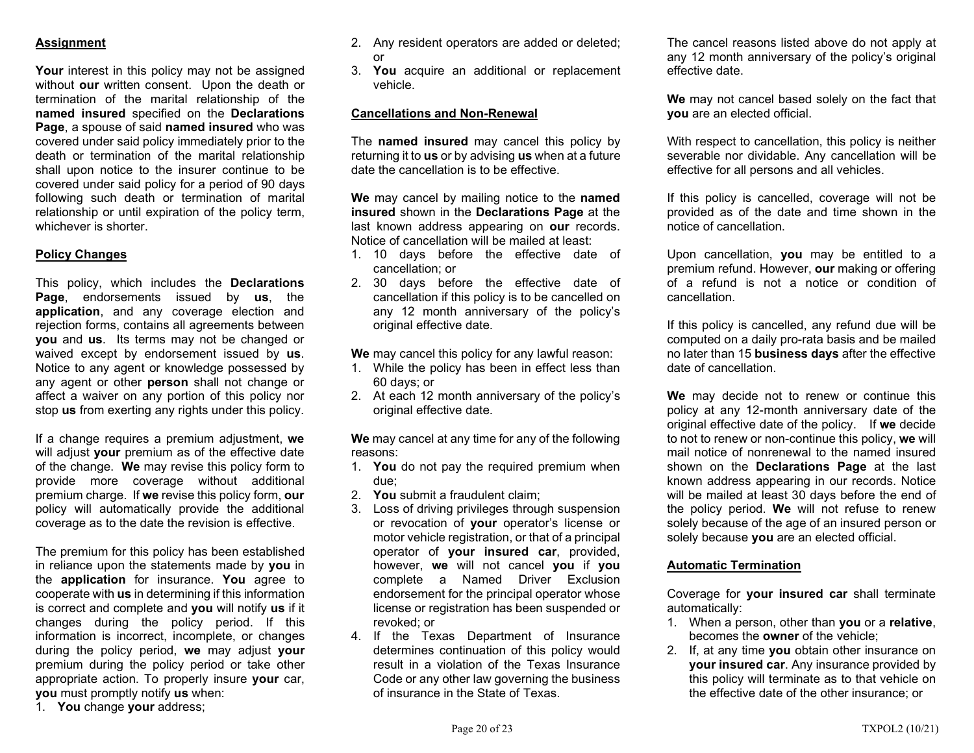# **Assignment**

Your interest in this policy may not be assigned without our written consent. Upon the death or termination of the marital relationship of the named insured specified on the Declarations Page, a spouse of said named insured who was covered under said policy immediately prior to the death or termination of the marital relationship shall upon notice to the insurer continue to be covered under said policy for a period of 90 days following such death or termination of marital relationship or until expiration of the policy term, whichever is shorter.

# Policy Changes

This policy, which includes the Declarations Page, endorsements issued by us, the application, and any coverage election and rejection forms, contains all agreements between you and us. Its terms may not be changed or waived except by endorsement issued by us. Notice to any agent or knowledge possessed by any agent or other **person** shall not change or affect a waiver on any portion of this policy nor stop **us** from exerting any rights under this policy.

If a change requires a premium adjustment, we will adjust your premium as of the effective date of the change. We may revise this policy form to provide more coverage without additional premium charge. If we revise this policy form, our policy will automatically provide the additional coverage as to the date the revision is effective.

The premium for this policy has been established in reliance upon the statements made by you in the application for insurance. You agree to cooperate with us in determining if this information is correct and complete and you will notify us if it changes during the policy period. If this information is incorrect, incomplete, or changes during the policy period, we may adjust your premium during the policy period or take other appropriate action. To properly insure your car, you must promptly notify us when:

1. You change your address;

- 2. Any resident operators are added or deleted; or
- 3. You acquire an additional or replacement vehicle.

# Cancellations and Non-Renewal

The **named insured** may cancel this policy by returning it to us or by advising us when at a future date the cancellation is to be effective.

We may cancel by mailing notice to the named insured shown in the Declarations Page at the last known address appearing on our records. Notice of cancellation will be mailed at least:

- 1. 10 days before the effective date of cancellation; or
- 2. 30 days before the effective date of cancellation if this policy is to be cancelled on any 12 month anniversary of the policy's original effective date.

We may cancel this policy for any lawful reason:

- 1. While the policy has been in effect less than 60 days; or
- 2. At each 12 month anniversary of the policy's original effective date.

We may cancel at any time for any of the following reasons:

- 1. You do not pay the required premium when due;
- 2. You submit a fraudulent claim;
- 3. Loss of driving privileges through suspension or revocation of your operator's license or motor vehicle registration, or that of a principal operator of your insured car, provided, however, we will not cancel you if you complete a Named Driver Exclusion endorsement for the principal operator whose license or registration has been suspended or revoked; or
- 4. If the Texas Department of Insurance determines continuation of this policy would result in a violation of the Texas Insurance Code or any other law governing the business of insurance in the State of Texas.

The cancel reasons listed above do not apply at any 12 month anniversary of the policy's original effective date.

We may not cancel based solely on the fact that you are an elected official.

With respect to cancellation, this policy is neither severable nor dividable. Any cancellation will be effective for all persons and all vehicles.

If this policy is cancelled, coverage will not be provided as of the date and time shown in the notice of cancellation.

Upon cancellation, you may be entitled to a premium refund. However, our making or offering of a refund is not a notice or condition of cancellation.

If this policy is cancelled, any refund due will be computed on a daily pro-rata basis and be mailed no later than 15 business days after the effective date of cancellation.

We may decide not to renew or continue this policy at any 12-month anniversary date of the original effective date of the policy. If we decide to not to renew or non-continue this policy, we will mail notice of nonrenewal to the named insured shown on the Declarations Page at the last known address appearing in our records. Notice will be mailed at least 30 days before the end of the policy period. We will not refuse to renew solely because of the age of an insured person or solely because you are an elected official.

#### Automatic Termination

Coverage for your insured car shall terminate automatically:

- 1. When a person, other than you or a relative, becomes the owner of the vehicle;
- 2. If, at any time you obtain other insurance on your insured car. Any insurance provided by this policy will terminate as to that vehicle on the effective date of the other insurance; or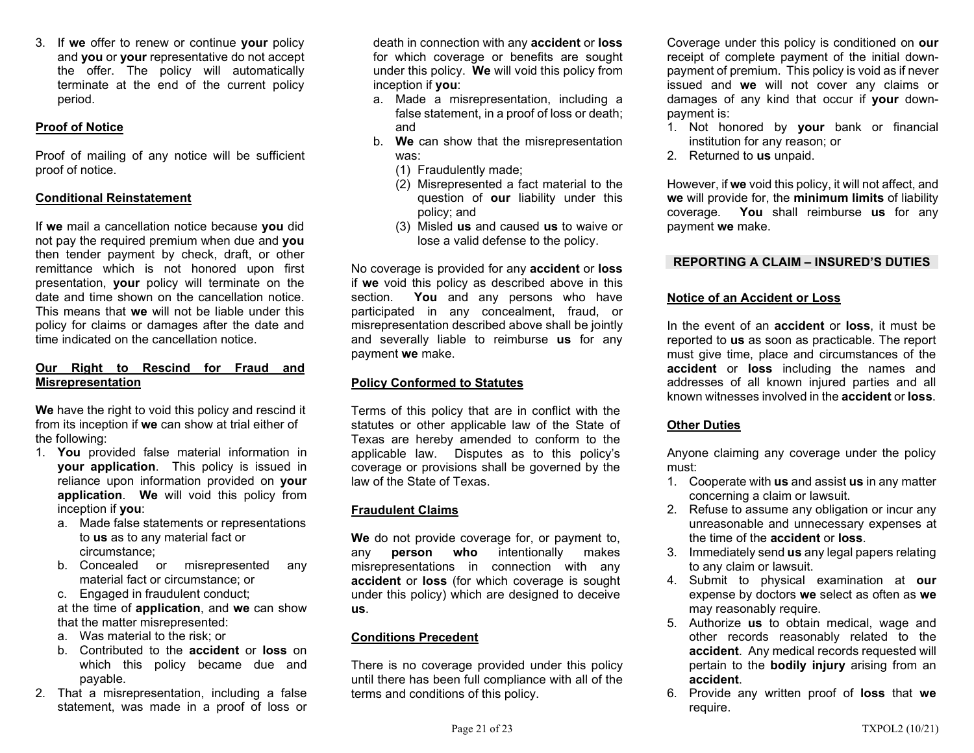3. If we offer to renew or continue your policy and you or your representative do not accept the offer. The policy will automatically terminate at the end of the current policy period.

# Proof of Notice

Proof of mailing of any notice will be sufficient proof of notice.

### Conditional Reinstatement

If we mail a cancellation notice because you did not pay the required premium when due and you then tender payment by check, draft, or other remittance which is not honored upon first presentation, your policy will terminate on the date and time shown on the cancellation notice. This means that we will not be liable under this policy for claims or damages after the date and time indicated on the cancellation notice.

### Our Right to Rescind for Fraud and Misrepresentation

We have the right to void this policy and rescind it from its inception if we can show at trial either of the following:

- 1. You provided false material information in your application. This policy is issued in reliance upon information provided on your application. We will void this policy from inception if you:
	- a. Made false statements or representations to us as to any material fact or circumstance;
	- b. Concealed or misrepresented any material fact or circumstance; or
	- c. Engaged in fraudulent conduct;

at the time of application, and we can show that the matter misrepresented:

- a. Was material to the risk; or
- b. Contributed to the accident or loss on which this policy became due and payable.
- 2. That a misrepresentation, including a false statement, was made in a proof of loss or

death in connection with any accident or loss for which coverage or benefits are sought under this policy. We will void this policy from inception if you:

- a. Made a misrepresentation, including a false statement, in a proof of loss or death; and
- b. We can show that the misrepresentation was:
	- (1) Fraudulently made;
	- (2) Misrepresented a fact material to the question of **our** liability under this policy; and
	- (3) Misled us and caused us to waive or lose a valid defense to the policy.

No coverage is provided for any accident or loss if we void this policy as described above in this section. You and any persons who have participated in any concealment, fraud, or misrepresentation described above shall be jointly and severally liable to reimburse us for any payment we make.

# Policy Conformed to Statutes

Terms of this policy that are in conflict with the statutes or other applicable law of the State of Texas are hereby amended to conform to the applicable law. Disputes as to this policy's coverage or provisions shall be governed by the law of the State of Texas.

# Fraudulent Claims

We do not provide coverage for, or payment to, any **person who** intentionally makes misrepresentations in connection with any accident or loss (for which coverage is sought under this policy) which are designed to deceive us.

# Conditions Precedent

There is no coverage provided under this policy until there has been full compliance with all of the terms and conditions of this policy.

Coverage under this policy is conditioned on our receipt of complete payment of the initial downpayment of premium. This policy is void as if never issued and we will not cover any claims or damages of any kind that occur if your downpayment is:

- 1. Not honored by your bank or financial institution for any reason; or
- 2. Returned to us unpaid.

However, if we void this policy, it will not affect, and we will provide for, the minimum limits of liability coverage. You shall reimburse us for any payment we make.

### REPORTING A CLAIM – INSURED'S DUTIES

# Notice of an Accident or Loss

In the event of an **accident** or **loss**, it must be reported to us as soon as practicable. The report must give time, place and circumstances of the accident or loss including the names and addresses of all known injured parties and all known witnesses involved in the accident or loss.

# Other Duties

Anyone claiming any coverage under the policy must:

- 1. Cooperate with us and assist us in any matter concerning a claim or lawsuit.
- 2. Refuse to assume any obligation or incur any unreasonable and unnecessary expenses at the time of the accident or loss.
- 3. Immediately send us any legal papers relating to any claim or lawsuit.
- 4. Submit to physical examination at our expense by doctors we select as often as we may reasonably require.
- 5. Authorize us to obtain medical, wage and other records reasonably related to the accident. Any medical records requested will pertain to the bodily injury arising from an accident.
- 6. Provide any written proof of loss that we require.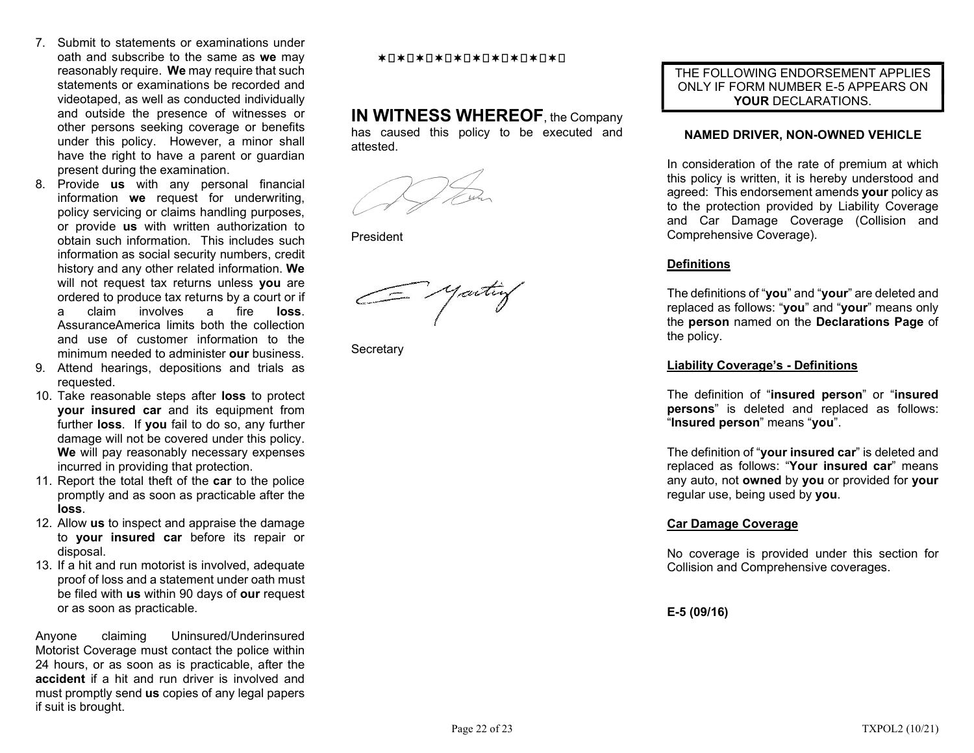- 7. Submit to statements or examinations under oath and subscribe to the same as we may reasonably require. We may require that such statements or examinations be recorded and videotaped, as well as conducted individually and outside the presence of witnesses or other persons seeking coverage or benefits under this policy. However, a minor shall have the right to have a parent or guardian present during the examination.
- 8. Provide us with any personal financial information we request for underwriting, policy servicing or claims handling purposes, or provide us with written authorization to obtain such information. This includes such information as social security numbers, credit history and any other related information. We will not request tax returns unless you are ordered to produce tax returns by a court or if a claim involves a fire loss. AssuranceAmerica limits both the collection and use of customer information to the minimum needed to administer **our** business.
- 9. Attend hearings, depositions and trials as requested.
- 10. Take reasonable steps after loss to protect your insured car and its equipment from further **loss**. If you fail to do so, any further damage will not be covered under this policy. We will pay reasonably necessary expenses incurred in providing that protection.
- 11. Report the total theft of the car to the police promptly and as soon as practicable after the loss.
- 12. Allow us to inspect and appraise the damage to your insured car before its repair or disposal.
- 13. If a hit and run motorist is involved, adequate proof of loss and a statement under oath must be filed with us within 90 days of our request or as soon as practicable.

Anyone claiming Uninsured/Underinsured Motorist Coverage must contact the police within 24 hours, or as soon as is practicable, after the accident if a hit and run driver is involved and must promptly send us copies of any legal papers if suit is brought.

#### \*0\*0\*0\*0\*0\*0\*0\*0\*0\*0\*0

# IN WITNESS WHEREOF, the Company

has caused this policy to be executed and attested.

President

G yaitiy

**Secretary** 

### THE FOLLOWING ENDORSEMENT APPLIES ONLY IF FORM NUMBER E-5 APPEARS ON YOUR DECLARATIONS.

### NAMED DRIVER, NON-OWNED VEHICLE

In consideration of the rate of premium at which this policy is written, it is hereby understood and agreed: This endorsement amends your policy as to the protection provided by Liability Coverage and Car Damage Coverage (Collision and Comprehensive Coverage).

# **Definitions**

The definitions of "you" and "your" are deleted and replaced as follows: "you" and "your" means only the person named on the Declarations Page of the policy.

### Liability Coverage's - Definitions

The definition of "insured person" or "insured persons" is deleted and replaced as follows: "Insured person" means "you".

The definition of "your insured car" is deleted and replaced as follows: "Your insured car" means any auto, not owned by you or provided for your regular use, being used by you.

# Car Damage Coverage

No coverage is provided under this section for Collision and Comprehensive coverages.

E-5 (09/16)